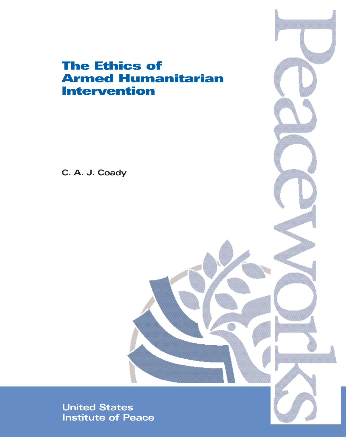# **The Ethics of Armed Humanitarian Intervention**

**C. A. J. Coady**

**United States Institute of Peace**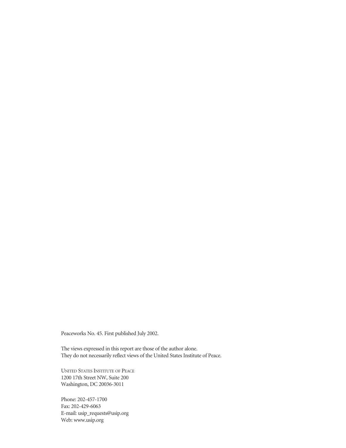Peaceworks No. 45. First published July 2002.

The views expressed in this report are those of the author alone. They do not necessarily reflect views of the United States Institute of Peace.

UNITED STATES INSTITUTE OF PEACE 1200 17th Street NW, Suite 200 Washington, DC 20036-3011

Phone: 202-457-1700 Fax: 202-429-6063 E-mail: usip\_requests@usip.org Web: www.usip.org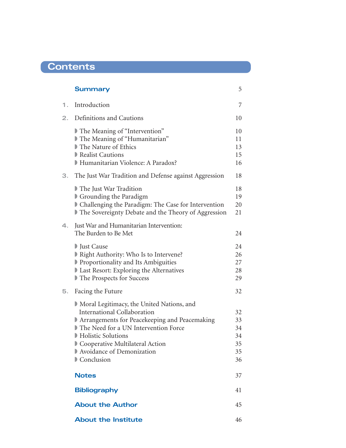# **Contents**

|    | <b>Summary</b>                                                                                                                                                                                                                                                                      | 5                                      |
|----|-------------------------------------------------------------------------------------------------------------------------------------------------------------------------------------------------------------------------------------------------------------------------------------|----------------------------------------|
| 1. | Introduction                                                                                                                                                                                                                                                                        | 7                                      |
| 2. | Definitions and Cautions                                                                                                                                                                                                                                                            | 10                                     |
|    | The Meaning of "Intervention"<br>The Meaning of "Humanitarian"<br>The Nature of Ethics<br>Realist Cautions<br>Humanitarian Violence: A Paradox?                                                                                                                                     | 10<br>11<br>13<br>15<br>16             |
| 3. | The Just War Tradition and Defense against Aggression                                                                                                                                                                                                                               | 18                                     |
|    | The Just War Tradition<br>Grounding the Paradigm<br>Challenging the Paradigm: The Case for Intervention<br>The Sovereignty Debate and the Theory of Aggression                                                                                                                      | 18<br>19<br>20<br>21                   |
| 4. | Just War and Humanitarian Intervention:<br>The Burden to Be Met                                                                                                                                                                                                                     | 24                                     |
|    | <b>Just Cause</b><br>Right Authority: Who Is to Intervene?<br><b>Proportionality and Its Ambiguities</b><br>Last Resort: Exploring the Alternatives<br>The Prospects for Success                                                                                                    | 24<br>26<br>27<br>28<br>29             |
| 5. | Facing the Future                                                                                                                                                                                                                                                                   | 32                                     |
|    | Moral Legitimacy, the United Nations, and<br><b>International Collaboration</b><br>Arrangements for Peacekeeping and Peacemaking<br>The Need for a UN Intervention Force<br><b>Holistic Solutions</b><br>Cooperative Multilateral Action<br>Avoidance of Demonization<br>Conclusion | 32<br>33<br>34<br>34<br>35<br>35<br>36 |
|    | <b>Notes</b>                                                                                                                                                                                                                                                                        | 37                                     |
|    | <b>Bibliography</b>                                                                                                                                                                                                                                                                 | 41                                     |
|    | <b>About the Author</b>                                                                                                                                                                                                                                                             | 45                                     |
|    | <b>About the Institute</b>                                                                                                                                                                                                                                                          | 46                                     |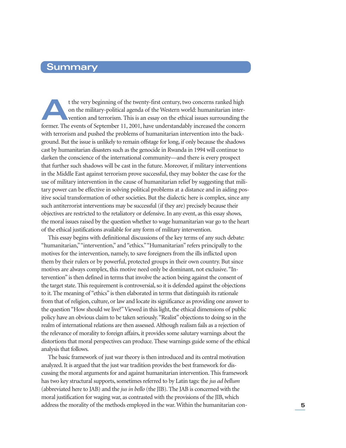# **Summary**

t the very beginning of the twenty-first century, two concerns ranked high<br>on the military-political agenda of the Western world: humanitarian inter-<br>vention and terrorism. This is an essay on the ethical issues surroundin on the military-political agenda of the Western world: humanitarian interformer. The events of September 11, 2001, have understandably increased the concern with terrorism and pushed the problems of humanitarian intervention into the background. But the issue is unlikely to remain offstage for long, if only because the shadows cast by humanitarian disasters such as the genocide in Rwanda in 1994 will continue to darken the conscience of the international community—and there is every prospect that further such shadows will be cast in the future. Moreover, if military interventions in the Middle East against terrorism prove successful, they may bolster the case for the use of military intervention in the cause of humanitarian relief by suggesting that military power can be effective in solving political problems at a distance and in aiding positive social transformation of other societies. But the dialectic here is complex, since any such antiterrorist interventions may be successful (if they are) precisely because their objectives are restricted to the retaliatory or defensive. In any event, as this essay shows, the moral issues raised by the question whether to wage humanitarian war go to the heart of the ethical justifications available for any form of military intervention.

This essay begins with definitional discussions of the key terms of any such debate: "humanitarian,""intervention," and "ethics.""Humanitarian" refers principally to the motives for the intervention, namely, to save foreigners from the ills inflicted upon them by their rulers or by powerful, protected groups in their own country. But since motives are always complex, this motive need only be dominant, not exclusive. "Intervention" is then defined in terms that involve the action being against the consent of the target state. This requirement is controversial, so it is defended against the objections to it. The meaning of "ethics" is then elaborated in terms that distinguish its rationale from that of religion, culture, or law and locate its significance as providing one answer to the question "How should we live?"Viewed in this light, the ethical dimensions of public policy have an obvious claim to be taken seriously."Realist" objections to doing so in the realm of international relations are then assessed. Although realism fails as a rejection of the relevance of morality to foreign affairs, it provides some salutary warnings about the distortions that moral perspectives can produce. These warnings guide some of the ethical analysis that follows.

The basic framework of just war theory is then introduced and its central motivation analyzed. It is argued that the just war tradition provides the best framework for discussing the moral arguments for and against humanitarian intervention. This framework has two key structural supports, sometimes referred to by Latin tags: the *jus ad bellum* (abbreviated here to JAB) and the *jus in bello* (the JIB). The JAB is concerned with the moral justification for waging war, as contrasted with the provisions of the JIB, which address the morality of the methods employed in the war. Within the humanitarian con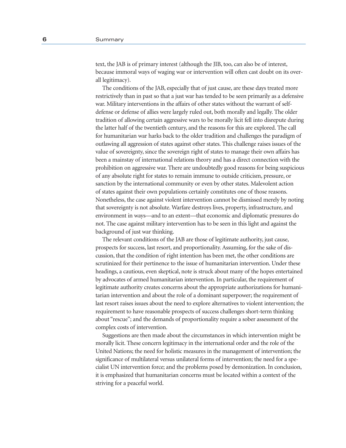text, the JAB is of primary interest (although the JIB, too, can also be of interest, because immoral ways of waging war or intervention will often cast doubt on its overall legitimacy).

The conditions of the JAB, especially that of just cause, are these days treated more restrictively than in past so that a just war has tended to be seen primarily as a defensive war. Military interventions in the affairs of other states without the warrant of selfdefense or defense of allies were largely ruled out, both morally and legally. The older tradition of allowing certain aggressive wars to be morally licit fell into disrepute during the latter half of the twentieth century, and the reasons for this are explored. The call for humanitarian war harks back to the older tradition and challenges the paradigm of outlawing all aggression of states against other states. This challenge raises issues of the value of sovereignty, since the sovereign right of states to manage their own affairs has been a mainstay of international relations theory and has a direct connection with the prohibition on aggressive war. There are undoubtedly good reasons for being suspicious of any absolute right for states to remain immune to outside criticism, pressure, or sanction by the international community or even by other states. Malevolent action of states against their own populations certainly constitutes one of those reasons. Nonetheless, the case against violent intervention cannot be dismissed merely by noting that sovereignty is not absolute. Warfare destroys lives, property, infrastructure, and environment in ways—and to an extent—that economic and diplomatic pressures do not. The case against military intervention has to be seen in this light and against the background of just war thinking.

The relevant conditions of the JAB are those of legitimate authority, just cause, prospects for success, last resort, and proportionality. Assuming, for the sake of discussion, that the condition of right intention has been met, the other conditions are scrutinized for their pertinence to the issue of humanitarian intervention. Under these headings, a cautious, even skeptical, note is struck about many of the hopes entertained by advocates of armed humanitarian intervention. In particular, the requirement of legitimate authority creates concerns about the appropriate authorizations for humanitarian intervention and about the role of a dominant superpower; the requirement of last resort raises issues about the need to explore alternatives to violent intervention; the requirement to have reasonable prospects of success challenges short-term thinking about "rescue"; and the demands of proportionality require a sober assessment of the complex costs of intervention.

Suggestions are then made about the circumstances in which intervention might be morally licit. These concern legitimacy in the international order and the role of the United Nations; the need for holistic measures in the management of intervention; the significance of multilateral versus unilateral forms of intervention; the need for a specialist UN intervention force; and the problems posed by demonization. In conclusion, it is emphasized that humanitarian concerns must be located within a context of the striving for a peaceful world.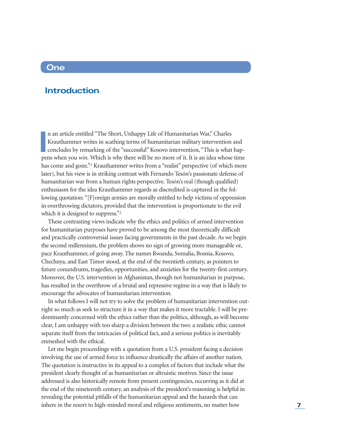### **One**

## **Introduction**

n an article entitled "The Short, Unhappy Life of Humanitarian War," Charles Krauthammer writes in scathing terms of humanitarian military intervention and concludes by remarking of the "successful" Kosovo intervention, "This is what happens when you *win.* Which is why there will be no more of it. It is an idea whose time has come and gone."<sup>1</sup> Krauthammer writes from a "realist" perspective (of which more later), but his view is in striking contrast with Fernando Tesón's passionate defense of humanitarian war from a human rights perspective. Tesón's real (though qualified) enthusiasm for the idea Krauthammer regards as discredited is captured in the following quotation: "[F]oreign armies are morally entitled to help victims of oppression in overthrowing dictators, provided that the intervention is proportionate to the evil which it is designed to suppress."<sup>2</sup> **I**<br> **I**<br> **I**<br> **Det** 

These contrasting views indicate why the ethics and politics of armed intervention for humanitarian purposes have proved to be among the most theoretically difficult and practically controversial issues facing governments in the past decade. As we begin the second millennium, the problem shows no sign of growing more manageable or, pace Krauthammer, of going away. The names Rwanda, Somalia, Bosnia, Kosovo, Chechnya, and East Timor stood, at the end of the twentieth century, as pointers to future conundrums, tragedies, opportunities, and anxieties for the twenty-first century. Moreover, the U.S. intervention in Afghanistan, though not humanitarian in purpose, has resulted in the overthrow of a brutal and repressive regime in a way that is likely to encourage the advocates of humanitarian intervention.

In what follows I will not try to solve the problem of humanitarian intervention outright so much as seek to structure it in a way that makes it more tractable. I will be predominantly concerned with the ethics rather than the politics, although, as will become clear, I am unhappy with too sharp a division between the two: a realistic ethic cannot separate itself from the intricacies of political fact, and a serious politics is inevitably enmeshed with the ethical.

Let me begin proceedings with a quotation from a U.S. president facing a decision involving the use of armed force to influence drastically the affairs of another nation. The quotation is instructive in its appeal to a complex of factors that include what the president clearly thought of as humanitarian or altruistic motives. Since the issue addressed is also historically remote from present contingencies, occurring as it did at the end of the nineteenth century, an analysis of the president's reasoning is helpful in revealing the potential pitfalls of the humanitarian appeal and the hazards that can inhere in the resort to high-minded moral and religious sentiments, no matter how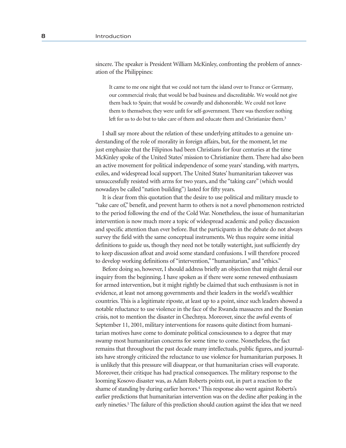sincere. The speaker is President William McKinley, confronting the problem of annexation of the Philippines:

It came to me one night that we could not turn the island over to France or Germany, our commercial rivals; that would be bad business and discreditable. We would not give them back to Spain; that would be cowardly and dishonorable. We could not leave them to themselves; they were unfit for self-government. There was therefore nothing left for us to do but to take care of them and educate them and Christianize them.<sup>3</sup>

I shall say more about the relation of these underlying attitudes to a genuine understanding of the role of morality in foreign affairs, but, for the moment, let me just emphasize that the Filipinos had been Christians for four centuries at the time McKinley spoke of the United States' mission to Christianize them. There had also been an active movement for political independence of some years' standing, with martyrs, exiles, and widespread local support. The United States' humanitarian takeover was unsuccessfully resisted with arms for two years, and the "taking care" (which would nowadays be called "nation building") lasted for fifty years.

It is clear from this quotation that the desire to use political and military muscle to "take care of," benefit, and prevent harm to others is not a novel phenomenon restricted to the period following the end of the Cold War. Nonetheless, the issue of humanitarian intervention is now much more a topic of widespread academic and policy discussion and specific attention than ever before. But the participants in the debate do not always survey the field with the same conceptual instruments. We thus require some initial definitions to guide us, though they need not be totally watertight, just sufficiently dry to keep discussion afloat and avoid some standard confusions. I will therefore proceed to develop working definitions of "intervention,""humanitarian," and "ethics."

Before doing so, however, I should address briefly an objection that might derail our inquiry from the beginning. I have spoken as if there were some renewed enthusiasm for armed intervention, but it might rightly be claimed that such enthusiasm is not in evidence, at least not among governments and their leaders in the world's wealthier countries. This is a legitimate riposte, at least up to a point, since such leaders showed a notable reluctance to use violence in the face of the Rwanda massacres and the Bosnian crisis, not to mention the disaster in Chechnya. Moreover, since the awful events of September 11, 2001, military interventions for reasons quite distinct from humanitarian motives have come to dominate political consciousness to a degree that may swamp most humanitarian concerns for some time to come. Nonetheless, the fact remains that throughout the past decade many intellectuals, public figures, and journalists have strongly criticized the reluctance to use violence for humanitarian purposes. It is unlikely that this pressure will disappear, or that humanitarian crises will evaporate. Moreover, their critique has had practical consequences. The military response to the looming Kosovo disaster was, as Adam Roberts points out, in part a reaction to the shame of standing by during earlier horrors.<sup>4</sup> This response also went against Roberts's earlier predictions that humanitarian intervention was on the decline after peaking in the early nineties.5 The failure of this prediction should caution against the idea that we need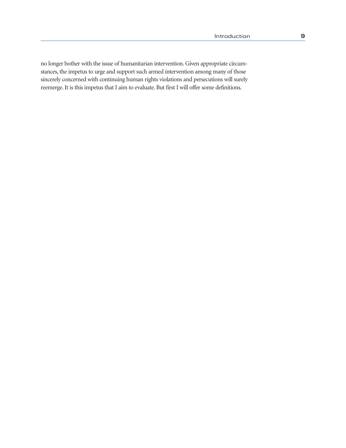no longer bother with the issue of humanitarian intervention. Given appropriate circumstances, the impetus to urge and support such armed intervention among many of those sincerely concerned with continuing human rights violations and persecutions will surely reemerge. It is this impetus that I aim to evaluate. But first I will offer some definitions.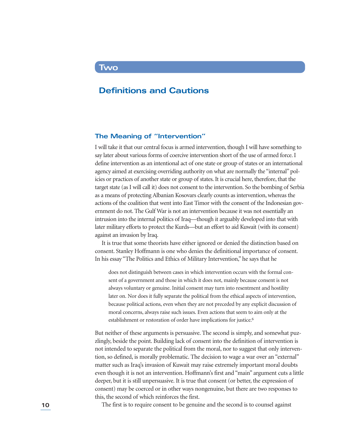#### **Two**

# **Definitions and Cautions**

#### **The Meaning of "Intervention"**

I will take it that our central focus is armed intervention, though I will have something to say later about various forms of coercive intervention short of the use of armed force. I define intervention as an intentional act of one state or group of states or an international agency aimed at exercising overriding authority on what are normally the "internal" policies or practices of another state or group of states. It is crucial here, therefore, that the target state (as I will call it) does not consent to the intervention. So the bombing of Serbia as a means of protecting Albanian Kosovars clearly counts as intervention, whereas the actions of the coalition that went into East Timor with the consent of the Indonesian government do not. The Gulf War is not an intervention because it was not essentially an intrusion into the internal politics of Iraq—though it arguably developed into that with later military efforts to protect the Kurds—but an effort to aid Kuwait (with its consent) against an invasion by Iraq.

It is true that some theorists have either ignored or denied the distinction based on consent. Stanley Hoffmann is one who denies the definitional importance of consent. In his essay "The Politics and Ethics of Military Intervention," he says that he

does not distinguish between cases in which intervention occurs with the formal consent of a government and those in which it does not, mainly because consent is not always voluntary or genuine. Initial consent may turn into resentment and hostility later on. Nor does it fully separate the political from the ethical aspects of intervention, because political actions, even when they are not preceded by any explicit discussion of moral concerns, always raise such issues. Even actions that seem to aim only at the establishment or restoration of order have implications for justice.<sup>6</sup>

But neither of these arguments is persuasive. The second is simply, and somewhat puzzlingly, beside the point. Building lack of consent into the definition of intervention is not intended to separate the political from the moral, nor to suggest that only intervention, so defined, is morally problematic. The decision to wage a war over an "external" matter such as Iraq's invasion of Kuwait may raise extremely important moral doubts even though it is not an intervention. Hoffmann's first and "main" argument cuts a little deeper, but it is still unpersuasive. It is true that consent (or better, the expression of consent) may be coerced or in other ways nongenuine, but there are two responses to this, the second of which reinforces the first.

The first is to require consent to be genuine and the second is to counsel against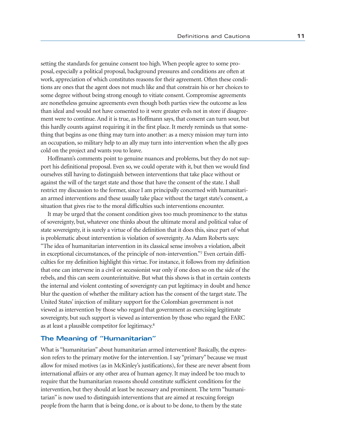setting the standards for genuine consent too high. When people agree to some proposal, especially a political proposal, background pressures and conditions are often at work, appreciation of which constitutes reasons for their agreement. Often these conditions are ones that the agent does not much like and that constrain his or her choices to some degree without being strong enough to vitiate consent. Compromise agreements are nonetheless genuine agreements even though both parties view the outcome as less than ideal and would not have consented to it were greater evils not in store if disagreement were to continue. And it is true, as Hoffmann says, that consent can turn sour, but this hardly counts against requiring it in the first place. It merely reminds us that something that begins as one thing may turn into another: as a mercy mission may turn into an occupation, so military help to an ally may turn into intervention when the ally goes cold on the project and wants you to leave.

Hoffmann's comments point to genuine nuances and problems, but they do not support his definitional proposal. Even so, we could operate with it, but then we would find ourselves still having to distinguish between interventions that take place without or against the will of the target state and those that have the consent of the state. I shall restrict my discussion to the former, since I am principally concerned with humanitarian armed interventions and these usually take place without the target state's consent, a situation that gives rise to the moral difficulties such interventions encounter.

It may be urged that the consent condition gives too much prominence to the status of sovereignty, but, whatever one thinks about the ultimate moral and political value of state sovereignty, it is surely a virtue of the definition that it does this, since part of what is problematic about intervention is violation of sovereignty. As Adam Roberts says: "The idea of humanitarian intervention in its classical sense involves a violation, albeit in exceptional circumstances, of the principle of non-intervention."7 Even certain difficulties for my definition highlight this virtue. For instance, it follows from my definition that one can intervene in a civil or secessionist war only if one does so on the side of the rebels, and this can seem counterintuitive. But what this shows is that in certain contexts the internal and violent contesting of sovereignty can put legitimacy in doubt and hence blur the question of whether the military action has the consent of the target state. The United States' injection of military support for the Colombian government is not viewed as intervention by those who regard that government as exercising legitimate sovereignty, but such support is viewed as intervention by those who regard the FARC as at least a plausible competitor for legitimacy.8

#### **The Meaning of "Humanitarian"**

What is "humanitarian" about humanitarian armed intervention? Basically, the expression refers to the primary motive for the intervention. I say "primary" because we must allow for mixed motives (as in McKinley's justifications), for these are never absent from international affairs or any other area of human agency. It may indeed be too much to require that the humanitarian reasons should constitute sufficient conditions for the intervention, but they should at least be necessary and prominent. The term "humanitarian" is now used to distinguish interventions that are aimed at rescuing foreign people from the harm that is being done, or is about to be done, to them by the state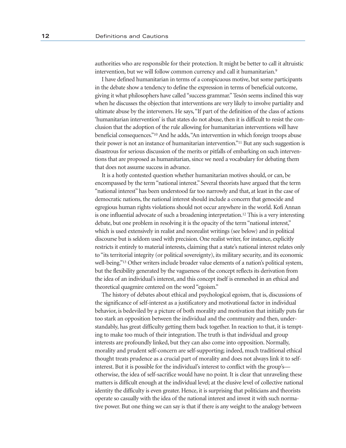authorities who are responsible for their protection. It might be better to call it altruistic intervention, but we will follow common currency and call it humanitarian.<sup>9</sup>

I have defined humanitarian in terms of a conspicuous motive, but some participants in the debate show a tendency to define the expression in terms of beneficial outcome, giving it what philosophers have called "success grammar." Tesón seems inclined this way when he discusses the objection that interventions are very likely to involve partiality and ultimate abuse by the interveners. He says, "If part of the definition of the class of actions 'humanitarian intervention' is that states do not abuse, then it is difficult to resist the conclusion that the adoption of the rule allowing for humanitarian interventions will have beneficial consequences."10 And he adds, "An intervention in which foreign troops abuse their power is not an instance of humanitarian intervention."11 But any such suggestion is disastrous for serious discussion of the merits or pitfalls of embarking on such interventions that are proposed as humanitarian, since we need a vocabulary for debating them that does not assume success in advance.

It is a hotly contested question whether humanitarian motives should, or can, be encompassed by the term "national interest." Several theorists have argued that the term "national interest" has been understood far too narrowly and that, at least in the case of democratic nations, the national interest should include a concern that genocide and egregious human rights violations should not occur anywhere in the world. Kofi Annan is one influential advocate of such a broadening interpretation.12 This is a very interesting debate, but one problem in resolving it is the opacity of the term "national interest," which is used extensively in realist and neorealist writings (see below) and in political discourse but is seldom used with precision. One realist writer, for instance, explicitly restricts it entirely to material interests, claiming that a state's national interest relates only to "its territorial integrity (or political sovereignty), its military security, and its economic well-being."13 Other writers include broader value elements of a nation's political system, but the flexibility generated by the vagueness of the concept reflects its derivation from the idea of an individual's interest, and this concept itself is enmeshed in an ethical and theoretical quagmire centered on the word "egoism."

The history of debates about ethical and psychological egoism, that is, discussions of the significance of self-interest as a justificatory and motivational factor in individual behavior, is bedeviled by a picture of both morality and motivation that initially puts far too stark an opposition between the individual and the community and then, understandably, has great difficulty getting them back together. In reaction to that, it is tempting to make too much of their integration. The truth is that individual and group interests are profoundly linked, but they can also come into opposition. Normally, morality and prudent self-concern are self-supporting; indeed, much traditional ethical thought treats prudence as a crucial part of morality and does not always link it to selfinterest. But it is possible for the individual's interest to conflict with the group's otherwise, the idea of self-sacrifice would have no point. It is clear that unraveling these matters is difficult enough at the individual level; at the elusive level of collective national identity the difficulty is even greater. Hence, it is surprising that politicians and theorists operate so casually with the idea of the national interest and invest it with such normative power. But one thing we can say is that if there is any weight to the analogy between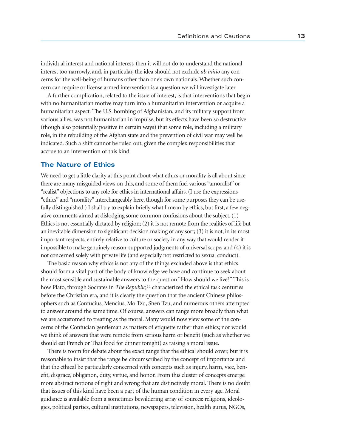individual interest and national interest, then it will not do to understand the national interest too narrowly, and, in particular, the idea should not exclude *ab initio* any concerns for the well-being of humans other than one's own nationals. Whether such concern can require or license armed intervention is a question we will investigate later.

A further complication, related to the issue of interest, is that interventions that begin with no humanitarian motive may turn into a humanitarian intervention or acquire a humanitarian aspect. The U.S. bombing of Afghanistan, and its military support from various allies, was not humanitarian in impulse, but its effects have been so destructive (though also potentially positive in certain ways) that some role, including a military role, in the rebuilding of the Afghan state and the prevention of civil war may well be indicated. Such a shift cannot be ruled out, given the complex responsibilities that accrue to an intervention of this kind.

#### **The Nature of Ethics**

We need to get a little clarity at this point about what ethics or morality is all about since there are many misguided views on this, and some of them fuel various "amoralist" or "realist" objections to any role for ethics in international affairs. (I use the expressions "ethics" and "morality" interchangeably here, though for some purposes they can be usefully distinguished.) I shall try to explain briefly what I mean by ethics, but first, a few negative comments aimed at dislodging some common confusions about the subject. (1) Ethics is not essentially dictated by religion; (2) it is not remote from the realities of life but an inevitable dimension to significant decision making of any sort; (3) it is not, in its most important respects, entirely relative to culture or society in any way that would render it impossible to make genuinely reason-supported judgments of universal scope; and (4) it is not concerned solely with private life (and especially not restricted to sexual conduct).

The basic reason why ethics is not any of the things excluded above is that ethics should form a vital part of the body of knowledge we have and continue to seek about the most sensible and sustainable answers to the question "How should we live?" This is how Plato, through Socrates in *The Republic,*<sup>14</sup> characterized the ethical task centuries before the Christian era, and it is clearly the question that the ancient Chinese philosophers such as Confucius, Mencius, Mo Tzu, Shen Tzu, and numerous others attempted to answer around the same time. Of course, answers can range more broadly than what we are accustomed to treating as the moral. Many would now view some of the concerns of the Confucian gentleman as matters of etiquette rather than ethics; nor would we think of answers that were remote from serious harm or benefit (such as whether we should eat French or Thai food for dinner tonight) as raising a moral issue.

There is room for debate about the exact range that the ethical should cover, but it is reasonable to insist that the range be circumscribed by the concept of importance and that the ethical be particularly concerned with concepts such as injury, harm, vice, benefit, disgrace, obligation, duty, virtue, and honor. From this cluster of concepts emerge more abstract notions of right and wrong that are distinctively moral. There is no doubt that issues of this kind have been a part of the human condition in every age. Moral guidance is available from a sometimes bewildering array of sources: religions, ideologies, political parties, cultural institutions, newspapers, television, health gurus, NGOs,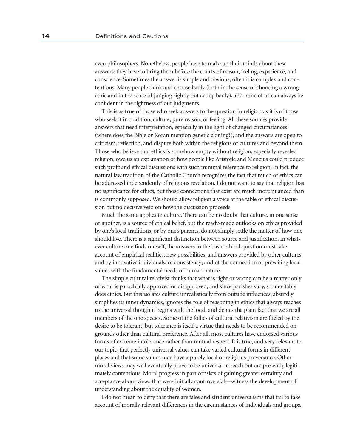even philosophers. Nonetheless, people have to make up their minds about these answers: they have to bring them before the courts of reason, feeling, experience, and conscience. Sometimes the answer is simple and obvious; often it is complex and contentious. Many people think and choose badly (both in the sense of choosing a wrong ethic and in the sense of judging rightly but acting badly), and none of us can always be confident in the rightness of our judgments.

This is as true of those who seek answers to the question in religion as it is of those who seek it in tradition, culture, pure reason, or feeling. All these sources provide answers that need interpretation, especially in the light of changed circumstances (where does the Bible or Koran mention genetic cloning?), and the answers are open to criticism, reflection, and dispute both within the religions or cultures and beyond them. Those who believe that ethics is somehow empty without religion, especially revealed religion, owe us an explanation of how people like Aristotle and Mencius could produce such profound ethical discussions with such minimal reference to religion. In fact, the natural law tradition of the Catholic Church recognizes the fact that much of ethics can be addressed independently of religious revelation. I do not want to say that religion has no significance for ethics, but those connections that exist are much more nuanced than is commonly supposed. We should allow religion a voice at the table of ethical discussion but no decisive veto on how the discussion proceeds.

Much the same applies to culture. There can be no doubt that culture, in one sense or another, is a source of ethical belief, but the ready-made outlooks on ethics provided by one's local traditions, or by one's parents, do not simply settle the matter of how one should live. There is a significant distinction between source and justification. In whatever culture one finds oneself, the answers to the basic ethical question must take account of empirical realities, new possibilities, and answers provided by other cultures and by innovative individuals; of consistency; and of the connection of prevailing local values with the fundamental needs of human nature.

The simple cultural relativist thinks that what is right or wrong can be a matter only of what is parochially approved or disapproved, and since parishes vary, so inevitably does ethics. But this isolates culture unrealistically from outside influences, absurdly simplifies its inner dynamics, ignores the role of reasoning in ethics that always reaches to the universal though it begins with the local, and denies the plain fact that we are all members of the one species. Some of the follies of cultural relativism are fueled by the desire to be tolerant, but tolerance is itself a virtue that needs to be recommended on grounds other than cultural preference. After all, most cultures have endorsed various forms of extreme intolerance rather than mutual respect. It is true, and very relevant to our topic, that perfectly universal values can take varied cultural forms in different places and that some values may have a purely local or religious provenance. Other moral views may well eventually prove to be universal in reach but are presently legitimately contentious. Moral progress in part consists of gaining greater certainty and acceptance about views that were initially controversial—witness the development of understanding about the equality of women.

I do not mean to deny that there are false and strident universalisms that fail to take account of morally relevant differences in the circumstances of individuals and groups.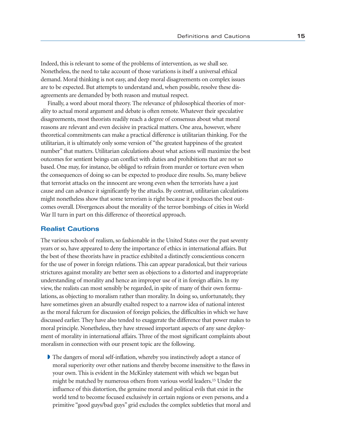Indeed, this is relevant to some of the problems of intervention, as we shall see. Nonetheless, the need to take account of those variations is itself a universal ethical demand. Moral thinking is not easy, and deep moral disagreements on complex issues are to be expected. But attempts to understand and, when possible, resolve these disagreements are demanded by both reason and mutual respect.

Finally, a word about moral theory. The relevance of philosophical theories of morality to actual moral argument and debate is often remote. Whatever their speculative disagreements, most theorists readily reach a degree of consensus about what moral reasons are relevant and even decisive in practical matters. One area, however, where theoretical commitments can make a practical difference is utilitarian thinking. For the utilitarian, it is ultimately only some version of "the greatest happiness of the greatest number" that matters. Utilitarian calculations about what actions will maximize the best outcomes for sentient beings can conflict with duties and prohibitions that are not so based. One may, for instance, be obliged to refrain from murder or torture even when the consequences of doing so can be expected to produce dire results. So, many believe that terrorist attacks on the innocent are wrong even when the terrorists have a just cause and can advance it significantly by the attacks. By contrast, utilitarian calculations might nonetheless show that some terrorism is right because it produces the best outcomes overall. Divergences about the morality of the terror bombings of cities in World War II turn in part on this difference of theoretical approach.

#### **Realist Cautions**

The various schools of realism, so fashionable in the United States over the past seventy years or so, have appeared to deny the importance of ethics in international affairs. But the best of these theorists have in practice exhibited a distinctly conscientious concern for the use of power in foreign relations. This can appear paradoxical, but their various strictures against morality are better seen as objections to a distorted and inappropriate understanding of morality and hence an improper use of it in foreign affairs. In my view, the realists can most sensibly be regarded, in spite of many of their own formulations, as objecting to moralism rather than morality. In doing so, unfortunately, they have sometimes given an absurdly exalted respect to a narrow idea of national interest as the moral fulcrum for discussion of foreign policies, the difficulties in which we have discussed earlier. They have also tended to exaggerate the difference that power makes to moral principle. Nonetheless, they have stressed important aspects of any sane deployment of morality in international affairs. Three of the most significant complaints about moralism in connection with our present topic are the following.

◗ The dangers of moral self-inflation, whereby you instinctively adopt a stance of moral superiority over other nations and thereby become insensitive to the flaws in your own. This is evident in the McKinley statement with which we began but might be matched by numerous others from various world leaders.15 Under the influence of this distortion, the genuine moral and political evils that exist in the world tend to become focused exclusively in certain regions or even persons, and a primitive "good guys/bad guys" grid excludes the complex subtleties that moral and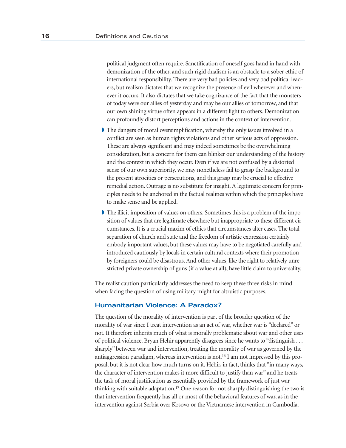political judgment often require. Sanctification of oneself goes hand in hand with demonization of the other, and such rigid dualism is an obstacle to a sober ethic of international responsibility. There are very bad policies and very bad political leaders, but realism dictates that we recognize the presence of evil wherever and whenever it occurs. It also dictates that we take cognizance of the fact that the monsters of today were our allies of yesterday and may be our allies of tomorrow, and that our own shining virtue often appears in a different light to others. Demonization can profoundly distort perceptions and actions in the context of intervention.

- ◗ The dangers of moral oversimplification, whereby the only issues involved in a conflict are seen as human rights violations and other serious acts of oppression. These are always significant and may indeed sometimes be the overwhelming consideration, but a concern for them can blinker our understanding of the history and the context in which they occur. Even if we are not confused by a distorted sense of our own superiority, we may nonetheless fail to grasp the background to the present atrocities or persecutions, and this grasp may be crucial to effective remedial action. Outrage is no substitute for insight. A legitimate concern for principles needs to be anchored in the factual realities within which the principles have to make sense and be applied.
- ◗ The illicit imposition of values on others. Sometimes this is a problem of the imposition of values that are legitimate elsewhere but inappropriate to these different circumstances. It is a crucial maxim of ethics that circumstances alter cases. The total separation of church and state and the freedom of artistic expression certainly embody important values, but these values may have to be negotiated carefully and introduced cautiously by locals in certain cultural contexts where their promotion by foreigners could be disastrous. And other values, like the right to relatively unrestricted private ownership of guns (if a value at all), have little claim to universality.

The realist caution particularly addresses the need to keep these three risks in mind when facing the question of using military might for altruistic purposes.

#### **Humanitarian Violence: A Paradox?**

The question of the morality of intervention is part of the broader question of the morality of war since I treat intervention as an act of war, whether war is "declared" or not. It therefore inherits much of what is morally problematic about war and other uses of political violence. Bryan Hehir apparently disagrees since he wants to "distinguish . . . sharply" between war and intervention, treating the morality of war as governed by the antiaggression paradigm, whereas intervention is not.16 I am not impressed by this proposal, but it is not clear how much turns on it. Hehir, in fact, thinks that "in many ways, the character of intervention makes it more difficult to justify than war" and he treats the task of moral justification as essentially provided by the framework of just war thinking with suitable adaptation.17 One reason for not sharply distinguishing the two is that intervention frequently has all or most of the behavioral features of war, as in the intervention against Serbia over Kosovo or the Vietnamese intervention in Cambodia.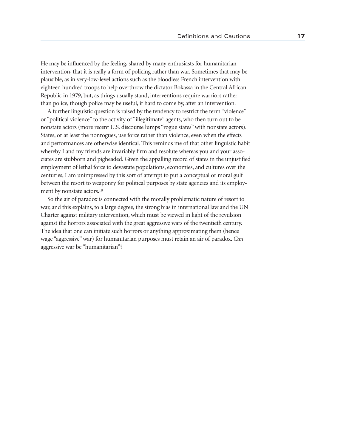He may be influenced by the feeling, shared by many enthusiasts for humanitarian intervention, that it is really a form of policing rather than war. Sometimes that may be plausible, as in very-low-level actions such as the bloodless French intervention with eighteen hundred troops to help overthrow the dictator Bokassa in the Central African Republic in 1979, but, as things usually stand, interventions require warriors rather than police, though police may be useful, if hard to come by, after an intervention.

A further linguistic question is raised by the tendency to restrict the term "violence" or "political violence" to the activity of "illegitimate" agents, who then turn out to be nonstate actors (more recent U.S. discourse lumps "rogue states" with nonstate actors). States, or at least the nonrogues, use force rather than violence, even when the effects and performances are otherwise identical. This reminds me of that other linguistic habit whereby I and my friends are invariably firm and resolute whereas you and your associates are stubborn and pigheaded. Given the appalling record of states in the unjustified employment of lethal force to devastate populations, economies, and cultures over the centuries, I am unimpressed by this sort of attempt to put a conceptual or moral gulf between the resort to weaponry for political purposes by state agencies and its employment by nonstate actors.18

So the air of paradox is connected with the morally problematic nature of resort to war, and this explains, to a large degree, the strong bias in international law and the UN Charter against military intervention, which must be viewed in light of the revulsion against the horrors associated with the great aggressive wars of the twentieth century. The idea that one can initiate such horrors or anything approximating them (hence wage "aggressive" war) for humanitarian purposes must retain an air of paradox. *Can* aggressive war be "humanitarian"?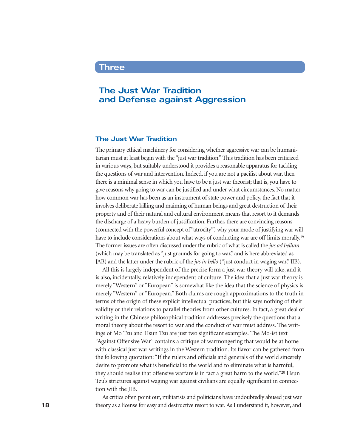### **Three**

# **The Just War Tradition and Defense against Aggression**

#### **The Just War Tradition**

The primary ethical machinery for considering whether aggressive war can be humanitarian must at least begin with the "just war tradition." This tradition has been criticized in various ways, but suitably understood it provides a reasonable apparatus for tackling the questions of war and intervention. Indeed, if you are not a pacifist about war, then there is a minimal sense in which you have to be a just war theorist; that is, you have to give reasons why going to war can be justified and under what circumstances. No matter how common war has been as an instrument of state power and policy, the fact that it involves deliberate killing and maiming of human beings and great destruction of their property and of their natural and cultural environment means that resort to it demands the discharge of a heavy burden of justification. Further, there are convincing reasons (connected with the powerful concept of "atrocity") why your mode of justifying war will have to include considerations about what ways of conducting war are off-limits morally.19 The former issues are often discussed under the rubric of what is called the *jus ad bellum* (which may be translated as "just grounds for going to war," and is here abbreviated as JAB) and the latter under the rubric of the *jus in bello* ("just conduct in waging war," JIB).

All this is largely independent of the precise form a just war theory will take, and it is also, incidentally, relatively independent of culture. The idea that a just war theory is merely "Western" or "European" is somewhat like the idea that the science of physics is merely "Western" or "European." Both claims are rough approximations to the truth in terms of the origin of these explicit intellectual practices, but this says nothing of their validity or their relations to parallel theories from other cultures. In fact, a great deal of writing in the Chinese philosophical tradition addresses precisely the questions that a moral theory about the resort to war and the conduct of war must address. The writings of Mo Tzu and Hsun Tzu are just two significant examples. The Mo-ist text "Against Offensive War" contains a critique of warmongering that would be at home with classical just war writings in the Western tradition. Its flavor can be gathered from the following quotation: "If the rulers and officials and generals of the world sincerely desire to promote what is beneficial to the world and to eliminate what is harmful, they should realise that offensive warfare is in fact a great harm to the world."20 Hsun Tzu's strictures against waging war against civilians are equally significant in connection with the JIB.

As critics often point out, militarists and politicians have undoubtedly abused just war **18** theory as a license for easy and destructive resort to war. As I understand it, however, and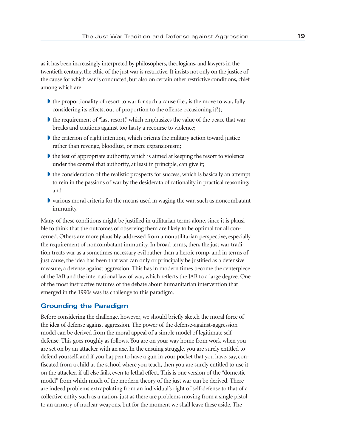as it has been increasingly interpreted by philosophers, theologians, and lawyers in the twentieth century, the ethic of the just war is restrictive. It insists not only on the justice of the cause for which war is conducted, but also on certain other restrictive conditions, chief among which are

- the proportionality of resort to war for such a cause (i.e., is the move to war, fully considering its effects, out of proportion to the offense occasioning it?);
- the requirement of "last resort," which emphasizes the value of the peace that war breaks and cautions against too hasty a recourse to violence;
- the criterion of right intention, which orients the military action toward justice rather than revenge, bloodlust, or mere expansionism;
- the test of appropriate authority, which is aimed at keeping the resort to violence under the control that authority, at least in principle, can give it;
- ◗ the consideration of the realistic prospects for success, which is basically an attempt to rein in the passions of war by the desiderata of rationality in practical reasoning; and
- ◗ various moral criteria for the means used in waging the war, such as noncombatant immunity.

Many of these conditions might be justified in utilitarian terms alone, since it is plausible to think that the outcomes of observing them are likely to be optimal for all concerned. Others are more plausibly addressed from a nonutilitarian perspective, especially the requirement of noncombatant immunity. In broad terms, then, the just war tradition treats war as a sometimes necessary evil rather than a heroic romp, and in terms of just cause, the idea has been that war can only or principally be justified as a defensive measure, a defense against aggression. This has in modern times become the centerpiece of the JAB and the international law of war, which reflects the JAB to a large degree. One of the most instructive features of the debate about humanitarian intervention that emerged in the 1990s was its challenge to this paradigm.

#### **Grounding the Paradigm**

Before considering the challenge, however, we should briefly sketch the moral force of the idea of defense against aggression. The power of the defense-against-aggression model can be derived from the moral appeal of a simple model of legitimate selfdefense. This goes roughly as follows. You are on your way home from work when you are set on by an attacker with an axe. In the ensuing struggle, you are surely entitled to defend yourself, and if you happen to have a gun in your pocket that you have, say, confiscated from a child at the school where you teach, then you are surely entitled to use it on the attacker, if all else fails, even to lethal effect. This is one version of the "domestic model" from which much of the modern theory of the just war can be derived. There are indeed problems extrapolating from an individual's right of self-defense to that of a collective entity such as a nation, just as there are problems moving from a single pistol to an armory of nuclear weapons, but for the moment we shall leave these aside. The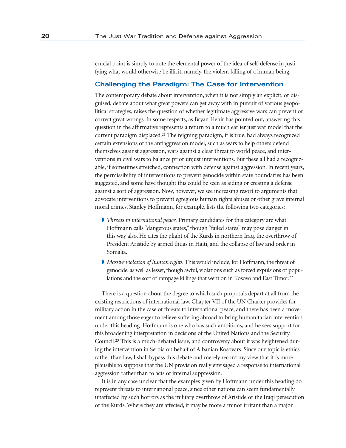crucial point is simply to note the elemental power of the idea of self-defense in justifying what would otherwise be illicit, namely, the violent killing of a human being.

#### **Challenging the Paradigm: The Case for Intervention**

The contemporary debate about intervention, when it is not simply an explicit, or disguised, debate about what great powers can get away with in pursuit of various geopolitical strategies, raises the question of whether legitimate aggressive wars can prevent or correct great wrongs. In some respects, as Bryan Hehir has pointed out, answering this question in the affirmative represents a return to a much earlier just war model that the current paradigm displaced.21 The reigning paradigm, it is true, had always recognized certain extensions of the antiaggression model, such as wars to help others defend themselves against aggression, wars against a clear threat to world peace, and interventions in civil wars to balance prior unjust interventions. But these all had a recognizable, if sometimes stretched, connection with defense against aggression. In recent years, the permissibility of interventions to prevent genocide within state boundaries has been suggested, and some have thought this could be seen as aiding or creating a defense against a sort of aggression. Now, however, we see increasing resort to arguments that advocate interventions to prevent egregious human rights abuses or other grave internal moral crimes. Stanley Hoffmann, for example, lists the following two categories:

- ◗ *Threats to international peace.* Primary candidates for this category are what Hoffmann calls "dangerous states," though "failed states" may pose danger in this way also. He cites the plight of the Kurds in northern Iraq, the overthrow of President Aristide by armed thugs in Haiti, and the collapse of law and order in Somalia.
- ◗ *Massive violation of human rights.* This would include, for Hoffmann, the threat of genocide, as well as lesser, though awful, violations such as forced expulsions of populations and the sort of rampage killings that went on in Kosovo and East Timor.<sup>22</sup>

There is a question about the degree to which such proposals depart at all from the existing restrictions of international law. Chapter VII of the UN Charter provides for military action in the case of threats to international peace, and there has been a movement among those eager to relieve suffering abroad to bring humanitarian intervention under this heading. Hoffmann is one who has such ambitions, and he sees support for this broadening interpretation in decisions of the United Nations and the Security Council.23 This is a much-debated issue, and controversy about it was heightened during the intervention in Serbia on behalf of Albanian Kosovars. Since our topic is ethics rather than law, I shall bypass this debate and merely record my view that it is more plausible to suppose that the UN provision really envisaged a response to international aggression rather than to acts of internal suppression.

It is in any case unclear that the examples given by Hoffmann under this heading do represent threats to international peace, since other nations can seem fundamentally unaffected by such horrors as the military overthrow of Aristide or the Iraqi persecution of the Kurds. Where they are affected, it may be more a minor irritant than a major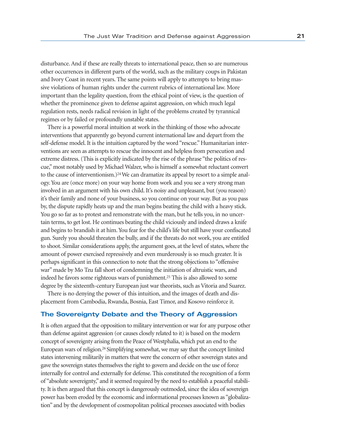disturbance. And if these are really threats to international peace, then so are numerous other occurrences in different parts of the world, such as the military coups in Pakistan and Ivory Coast in recent years. The same points will apply to attempts to bring massive violations of human rights under the current rubrics of international law. More important than the legality question, from the ethical point of view, is the question of whether the prominence given to defense against aggression, on which much legal regulation rests, needs radical revision in light of the problems created by tyrannical regimes or by failed or profoundly unstable states.

There is a powerful moral intuition at work in the thinking of those who advocate interventions that apparently go beyond current international law and depart from the self-defense model. It is the intuition captured by the word "rescue." Humanitarian interventions are seen as attempts to rescue the innocent and helpless from persecution and extreme distress. (This is explicitly indicated by the rise of the phrase "the politics of rescue," most notably used by Michael Walzer, who is himself a somewhat reluctant convert to the cause of interventionism.)<sup>24</sup> We can dramatize its appeal by resort to a simple analogy. You are (once more) on your way home from work and you see a very strong man involved in an argument with his own child. It's noisy and unpleasant, but (you reason) it's their family and none of your business, so you continue on your way. But as you pass by, the dispute rapidly heats up and the man begins beating the child with a heavy stick. You go so far as to protest and remonstrate with the man, but he tells you, in no uncertain terms, to get lost. He continues beating the child viciously and indeed draws a knife and begins to brandish it at him. You fear for the child's life but still have your confiscated gun. Surely you should threaten the bully, and if the threats do not work, you are entitled to shoot. Similar considerations apply, the argument goes, at the level of states, where the amount of power exercised repressively and even murderously is so much greater. It is perhaps significant in this connection to note that the strong objections to "offensive war" made by Mo Tzu fall short of condemning the initiation of altruistic wars, and indeed he favors some righteous wars of punishment.25 This is also allowed to some degree by the sixteenth-century European just war theorists, such as Vitoria and Suarez.

There is no denying the power of this intuition, and the images of death and displacement from Cambodia, Rwanda, Bosnia, East Timor, and Kosovo reinforce it.

#### **The Sovereignty Debate and the Theory of Aggression**

It is often argued that the opposition to military intervention or war for any purpose other than defense against aggression (or causes closely related to it) is based on the modern concept of sovereignty arising from the Peace of Westphalia, which put an end to the European wars of religion.26 Simplifying somewhat, we may say that the concept limited states intervening militarily in matters that were the concern of other sovereign states and gave the sovereign states themselves the right to govern and decide on the use of force internally for control and externally for defense. This constituted the recognition of a form of "absolute sovereignty," and it seemed required by the need to establish a peaceful stability. It is then argued that this concept is dangerously outmoded, since the idea of sovereign power has been eroded by the economic and informational processes known as "globalization" and by the development of cosmopolitan political processes associated with bodies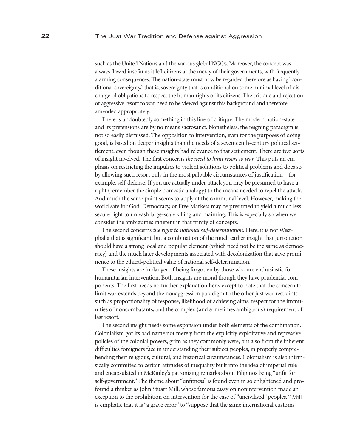such as the United Nations and the various global NGOs. Moreover, the concept was always flawed insofar as it left citizens at the mercy of their governments, with frequently alarming consequences. The nation-state must now be regarded therefore as having "conditional sovereignty," that is, sovereignty that is conditional on some minimal level of discharge of obligations to respect the human rights of its citizens. The critique and rejection of aggressive resort to war need to be viewed against this background and therefore amended appropriately.

There is undoubtedly something in this line of critique. The modern nation-state and its pretensions are by no means sacrosanct. Nonetheless, the reigning paradigm is not so easily dismissed. The opposition to intervention, even for the purposes of doing good, is based on deeper insights than the needs of a seventeenth-century political settlement, even though these insights had relevance to that settlement. There are two sorts of insight involved. The first concerns *the need to limit resort to war.* This puts an emphasis on restricting the impulses to violent solutions to political problems and does so by allowing such resort only in the most palpable circumstances of justification—for example, self-defense. If you are actually under attack you may be presumed to have a right (remember the simple domestic analogy) to the means needed to repel the attack. And much the same point seems to apply at the communal level. However, making the world safe for God, Democracy, or Free Markets may be presumed to yield a much less secure right to unleash large-scale killing and maiming. This is especially so when we consider the ambiguities inherent in that trinity of concepts.

The second concerns *the right to national self-determination.* Here, it is not Westphalia that is significant, but a combination of the much earlier insight that jurisdiction should have a strong local and popular element (which need not be the same as democracy) and the much later developments associated with decolonization that gave prominence to the ethical-political value of national self-determination.

These insights are in danger of being forgotten by those who are enthusiastic for humanitarian intervention. Both insights are moral though they have prudential components. The first needs no further explanation here, except to note that the concern to limit war extends beyond the nonaggression paradigm to the other just war restraints such as proportionality of response, likelihood of achieving aims, respect for the immunities of noncombatants, and the complex (and sometimes ambiguous) requirement of last resort.

The second insight needs some expansion under both elements of the combination. Colonialism got its bad name not merely from the explicitly exploitative and repressive policies of the colonial powers, grim as they commonly were, but also from the inherent difficulties foreigners face in understanding their subject peoples, in properly comprehending their religious, cultural, and historical circumstances. Colonialism is also intrinsically committed to certain attitudes of inequality built into the idea of imperial rule and encapsulated in McKinley's patronizing remarks about Filipinos being "unfit for self-government." The theme about "unfitness" is found even in so enlightened and profound a thinker as John Stuart Mill, whose famous essay on nonintervention made an exception to the prohibition on intervention for the case of "uncivilised" peoples.27Mill is emphatic that it is "a grave error" to "suppose that the same international customs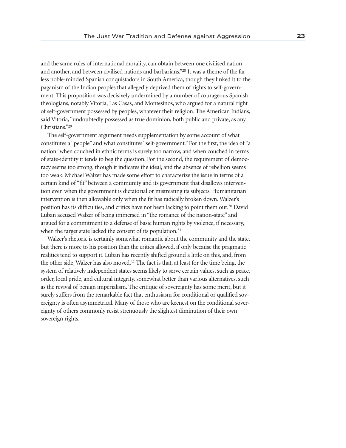and the same rules of international morality, can obtain between one civilised nation and another, and between civilised nations and barbarians."28 It was a theme of the far less noble-minded Spanish conquistadors in South America, though they linked it to the paganism of the Indian peoples that allegedly deprived them of rights to self-government. This proposition was decisively undermined by a number of courageous Spanish theologians, notably Vitoria, Las Casas, and Montesinos, who argued for a natural right of self-government possessed by peoples, whatever their religion. The American Indians, said Vitoria, "undoubtedly possessed as true dominion, both public and private, as any Christians."29

The self-government argument needs supplementation by some account of what constitutes a "people" and what constitutes "self-government." For the first, the idea of "a nation" when couched in ethnic terms is surely too narrow, and when couched in terms of state-identity it tends to beg the question. For the second, the requirement of democracy seems too strong, though it indicates the ideal, and the absence of rebellion seems too weak. Michael Walzer has made some effort to characterize the issue in terms of a certain kind of "fit" between a community and its government that disallows intervention even when the government is dictatorial or mistreating its subjects. Humanitarian intervention is then allowable only when the fit has radically broken down. Walzer's position has its difficulties, and critics have not been lacking to point them out.30 David Luban accused Walzer of being immersed in "the romance of the nation-state" and argued for a commitment to a defense of basic human rights by violence, if necessary, when the target state lacked the consent of its population.<sup>31</sup>

Walzer's rhetoric is certainly somewhat romantic about the community and the state, but there is more to his position than the critics allowed, if only because the pragmatic realities tend to support it. Luban has recently shifted ground a little on this, and, from the other side, Walzer has also moved.32 The fact is that, at least for the time being, the system of relatively independent states seems likely to serve certain values, such as peace, order, local pride, and cultural integrity, somewhat better than various alternatives, such as the revival of benign imperialism. The critique of sovereignty has some merit, but it surely suffers from the remarkable fact that enthusiasm for conditional or qualified sovereignty is often asymmetrical. Many of those who are keenest on the conditional sovereignty of others commonly resist strenuously the slightest diminution of their own sovereign rights.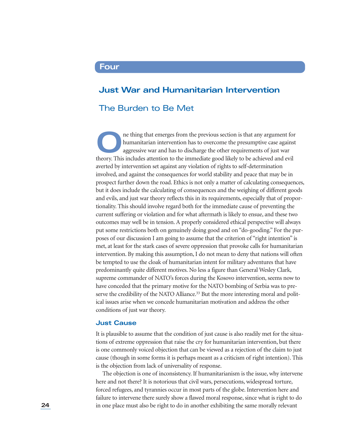### **Four**

# **Just War and Humanitarian Intervention**  The Burden to Be Met

**O**ne thing that emerges from the previous section is that any argument for humanitarian intervention has to overcome the presumptive case against aggressive war and has to discharge the other requirements of just war theory. This includes attention to the immediate good likely to be achieved and evil averted by intervention set against any violation of rights to self-determination involved, and against the consequences for world stability and peace that may be in prospect further down the road. Ethics is not only a matter of calculating consequences, but it does include the calculating of consequences and the weighing of different goods and evils, and just war theory reflects this in its requirements, especially that of proportionality. This should involve regard both for the immediate cause of preventing the current suffering or violation and for what aftermath is likely to ensue, and these two outcomes may well be in tension. A properly considered ethical perspective will always put some restrictions both on genuinely doing good and on "do-gooding." For the purposes of our discussion I am going to assume that the criterion of "right intention" is met, at least for the stark cases of severe oppression that provoke calls for humanitarian intervention. By making this assumption, I do not mean to deny that nations will often be tempted to use the cloak of humanitarian intent for military adventures that have predominantly quite different motives. No less a figure than General Wesley Clark, supreme commander of NATO's forces during the Kosovo intervention, seems now to have conceded that the primary motive for the NATO bombing of Serbia was to preserve the credibility of the NATO Alliance.<sup>33</sup> But the more interesting moral and political issues arise when we concede humanitarian motivation and address the other conditions of just war theory.

#### **Just Cause**

It is plausible to assume that the condition of just cause is also readily met for the situations of extreme oppression that raise the cry for humanitarian intervention, but there is one commonly voiced objection that can be viewed as a rejection of the claim to just cause (though in some forms it is perhaps meant as a criticism of right intention). This is the objection from lack of universality of response.

The objection is one of inconsistency. If humanitarianism is the issue, why intervene here and not there? It is notorious that civil wars, persecutions, widespread torture, forced refugees, and tyrannies occur in most parts of the globe. Intervention here and failure to intervene there surely show a flawed moral response, since what is right to do **24** in one place must also be right to do in another exhibiting the same morally relevant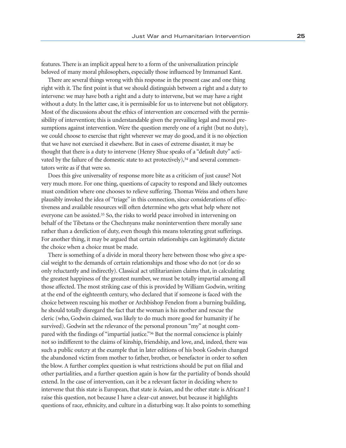features. There is an implicit appeal here to a form of the universalization principle beloved of many moral philosophers, especially those influenced by Immanuel Kant.

There are several things wrong with this response in the present case and one thing right with it. The first point is that we should distinguish between a right and a duty to intervene: we may have both a right and a duty to intervene, but we may have a right without a duty. In the latter case, it is permissible for us to intervene but not obligatory. Most of the discussions about the ethics of intervention are concerned with the permissibility of intervention; this is understandable given the prevailing legal and moral presumptions against intervention. Were the question merely one of a right (but no duty), we could choose to exercise that right wherever we may do good, and it is no objection that we have not exercised it elsewhere. But in cases of extreme disaster, it may be thought that there is a duty to intervene (Henry Shue speaks of a "default duty" activated by the failure of the domestic state to act protectively), $34$  and several commentators write as if that were so.

Does this give universality of response more bite as a criticism of just cause? Not very much more. For one thing, questions of capacity to respond and likely outcomes must condition where one chooses to relieve suffering. Thomas Weiss and others have plausibly invoked the idea of "triage" in this connection, since considerations of effectiveness and available resources will often determine who gets what help where not everyone can be assisted.35 So, the risks to world peace involved in intervening on behalf of the Tibetans or the Chechnyans make nonintervention there morally sane rather than a dereliction of duty, even though this means tolerating great sufferings. For another thing, it may be argued that certain relationships can legitimately dictate the choice when a choice must be made.

There is something of a divide in moral theory here between those who give a special weight to the demands of certain relationships and those who do not (or do so only reluctantly and indirectly). Classical act utilitarianism claims that, in calculating the greatest happiness of the greatest number, we must be totally impartial among all those affected. The most striking case of this is provided by William Godwin, writing at the end of the eighteenth century, who declared that if someone is faced with the choice between rescuing his mother or Archbishop Fenelon from a burning building, he should totally disregard the fact that the woman is his mother and rescue the cleric (who, Godwin claimed, was likely to do much more good for humanity if he survived). Godwin set the relevance of the personal pronoun "my" at nought compared with the findings of "impartial justice."36 But the normal conscience is plainly not so indifferent to the claims of kinship, friendship, and love, and, indeed, there was such a public outcry at the example that in later editions of his book Godwin changed the abandoned victim from mother to father, brother, or benefactor in order to soften the blow. A further complex question is what restrictions should be put on filial and other partialities, and a further question again is how far the partiality of bonds should extend. In the case of intervention, can it be a relevant factor in deciding where to intervene that this state is European, that state is Asian, and the other state is African? I raise this question, not because I have a clear-cut answer, but because it highlights questions of race, ethnicity, and culture in a disturbing way. It also points to something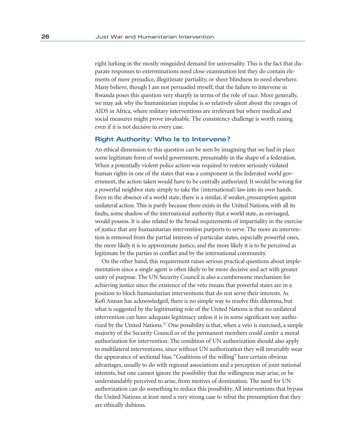right lurking in the mostly misguided demand for universality. This is the fact that disparate responses to exterminations need close examination lest they do contain elements of mere prejudice, illegitimate partiality, or sheer blindness to need elsewhere. Many believe, though I am not persuaded myself, that the failure to intervene in Rwanda poses this question very sharply in terms of the role of race. More generally, we may ask why the humanitarian impulse is so relatively silent about the ravages of AIDS in Africa, where military interventions are irrelevant but where medical and social measures might prove invaluable. The consistency challenge is worth raising even if it is not decisive in every case.

#### **Right Authority: Who Is to Intervene?**

An ethical dimension to this question can be seen by imagining that we had in place some legitimate form of world government, presumably in the shape of a federation. When a potentially violent police action was required to restore seriously violated human rights in one of the states that was a component in the federated world government, the action taken would have to be centrally authorized. It would be wrong for a powerful neighbor state simply to take the (international) law into its own hands. Even in the absence of a world state, there is a similar, if weaker, presumption against unilateral action. This is partly because there exists in the United Nations, with all its faults, some shadow of the international authority that a world state, as envisaged, would possess. It is also related to the broad requirements of impartiality in the exercise of justice that any humanitarian intervention purports to serve. The more an intervention is removed from the partial interests of particular states, especially powerful ones, the more likely it is to approximate justice, and the more likely it is to be perceived as legitimate by the parties in conflict and by the international community.

On the other hand, this requirement raises serious practical questions about implementation since a single agent is often likely to be more decisive and act with greater unity of purpose. The UN Security Council is also a cumbersome mechanism for achieving justice since the existence of the veto means that powerful states are in a position to block humanitarian interventions that do not serve their interests. As Kofi Annan has acknowledged, there is no simple way to resolve this dilemma, but what is suggested by the legitimating role of the United Nations is that no unilateral intervention can have adequate legitimacy unless it is in some significant way authorized by the United Nations.37 One possibility is that, when a veto is exercised, a simple majority of the Security Council or of the permanent members could confer a moral authorization for intervention. The condition of UN authorization should also apply to multilateral interventions, since without UN authorization they will invariably wear the appearance of sectional bias. "Coalitions of the willing" have certain obvious advantages, usually to do with regional associations and a perception of joint national interests, but one cannot ignore the possibility that the willingness may arise, or be understandably perceived to arise, from motives of domination. The need for UN authorization can do something to reduce this possibility. All interventions that bypass the United Nations at least need a very strong case to rebut the presumption that they are ethically dubious.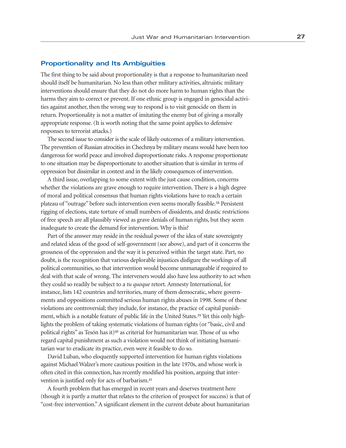#### **Proportionality and Its Ambiguities**

The first thing to be said about proportionality is that a response to humanitarian need should itself be humanitarian. No less than other military activities, altruistic military interventions should ensure that they do not do more harm to human rights than the harms they aim to correct or prevent. If one ethnic group is engaged in genocidal activities against another, then the wrong way to respond is to visit genocide on them in return. Proportionality is not a matter of imitating the enemy but of giving a morally appropriate response. (It is worth noting that the same point applies to defensive responses to terrorist attacks.)

The second issue to consider is the scale of likely outcomes of a military intervention. The prevention of Russian atrocities in Chechnya by military means would have been too dangerous for world peace and involved disproportionate risks. A response proportionate to one situation may be disproportionate to another situation that is similar in terms of oppression but dissimilar in context and in the likely consequences of intervention.

A third issue, overlapping to some extent with the just cause condition, concerns whether the violations are grave enough to require intervention. There is a high degree of moral and political consensus that human rights violations have to reach a certain plateau of "outrage" before such intervention even seems morally feasible.38 Persistent rigging of elections, state torture of small numbers of dissidents, and drastic restrictions of free speech are all plausibly viewed as grave denials of human rights, but they seem inadequate to create the demand for intervention. Why is this?

Part of the answer may reside in the residual power of the idea of state sovereignty and related ideas of the good of self-government (see above), and part of it concerns the grossness of the oppression and the way it is perceived within the target state. Part, no doubt, is the recognition that various deplorable injustices disfigure the workings of all political communities, so that intervention would become unmanageable if required to deal with that scale of wrong. The interveners would also have less authority to act when they could so readily be subject to a *tu quoque* retort. Amnesty International, for instance, lists 142 countries and territories, many of them democratic, where governments and oppositions committed serious human rights abuses in 1998. Some of these violations are controversial; they include, for instance, the practice of capital punishment, which is a notable feature of public life in the United States.39 Yet this only highlights the problem of taking systematic violations of human rights (or "basic, civil and political rights" as Tesón has it) $40$  as criterial for humanitarian war. Those of us who regard capital punishment as such a violation would not think of initiating humanitarian war to eradicate its practice, even were it feasible to do so.

David Luban, who eloquently supported intervention for human rights violations against Michael Walzer's more cautious position in the late 1970s, and whose work is often cited in this connection, has recently modified his position, arguing that intervention is justified only for acts of barbarism.<sup>41</sup>

A fourth problem that has emerged in recent years and deserves treatment here (though it is partly a matter that relates to the criterion of prospect for success) is that of "cost-free intervention." A significant element in the current debate about humanitarian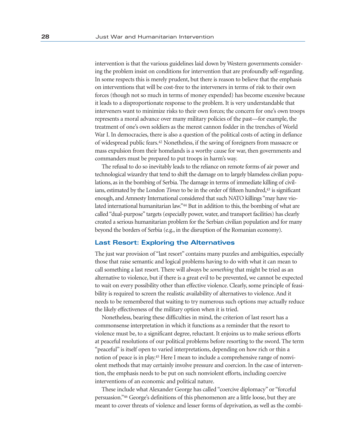intervention is that the various guidelines laid down by Western governments considering the problem insist on conditions for intervention that are profoundly self-regarding. In some respects this is merely prudent, but there is reason to believe that the emphasis on interventions that will be cost-free to the interveners in terms of risk to their own forces (though not so much in terms of money expended) has become excessive because it leads to a disproportionate response to the problem. It is very understandable that interveners want to minimize risks to their own forces; the concern for one's own troops represents a moral advance over many military policies of the past—for example, the treatment of one's own soldiers as the merest cannon fodder in the trenches of World War I. In democracies, there is also a question of the political costs of acting in defiance of widespread public fears.42 Nonetheless, if the saving of foreigners from massacre or mass expulsion from their homelands is a worthy cause for war, then governments and commanders must be prepared to put troops in harm's way.

The refusal to do so inevitably leads to the reliance on remote forms of air power and technological wizardry that tend to shift the damage on to largely blameless civilian populations, as in the bombing of Serbia. The damage in terms of immediate killing of civilians, estimated by the London *Times* to be in the order of fifteen hundred,43 is significant enough, and Amnesty International considered that such NATO killings "may have violated international humanitarian law."44 But in addition to this, the bombing of what are called "dual-purpose" targets (especially power, water, and transport facilities) has clearly created a serious humanitarian problem for the Serbian civilian population and for many beyond the borders of Serbia (e.g., in the disruption of the Romanian economy).

#### **Last Resort: Exploring the Alternatives**

The just war provision of "last resort" contains many puzzles and ambiguities, especially those that raise semantic and logical problems having to do with what it can mean to call something a last resort. There will always be *something* that might be tried as an alternative to violence, but if there is a great evil to be prevented, we cannot be expected to wait on every possibility other than effective violence. Clearly, some principle of feasibility is required to screen the realistic availability of alternatives to violence. And it needs to be remembered that waiting to try numerous such options may actually reduce the likely effectiveness of the military option when it is tried.

Nonetheless, bearing these difficulties in mind, the criterion of last resort has a commonsense interpretation in which it functions as a reminder that the resort to violence must be, to a significant degree, reluctant. It enjoins us to make serious efforts at peaceful resolutions of our political problems before resorting to the sword. The term "peaceful" is itself open to varied interpretations, depending on how rich or thin a notion of peace is in play.45 Here I mean to include a comprehensive range of nonviolent methods that may certainly involve pressure and coercion. In the case of intervention, the emphasis needs to be put on such nonviolent efforts, including coercive interventions of an economic and political nature.

These include what Alexander George has called "coercive diplomacy" or "forceful persuasion."46 George's definitions of this phenomenon are a little loose, but they are meant to cover threats of violence and lesser forms of deprivation, as well as the combi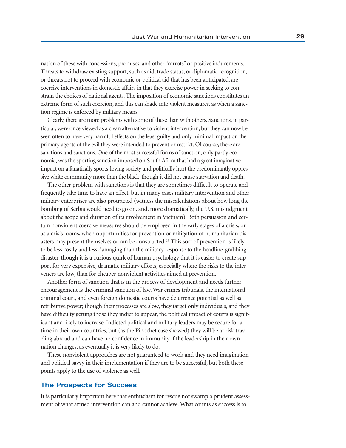nation of these with concessions, promises, and other "carrots" or positive inducements. Threats to withdraw existing support, such as aid, trade status, or diplomatic recognition, or threats not to proceed with economic or political aid that has been anticipated, are coercive interventions in domestic affairs in that they exercise power in seeking to constrain the choices of national agents. The imposition of economic sanctions constitutes an extreme form of such coercion, and this can shade into violent measures, as when a sanction regime is enforced by military means.

Clearly, there are more problems with some of these than with others. Sanctions, in particular, were once viewed as a clean alternative to violent intervention, but they can now be seen often to have very harmful effects on the least guilty and only minimal impact on the primary agents of the evil they were intended to prevent or restrict. Of course, there are sanctions and sanctions. One of the most successful forms of sanction, only partly economic, was the sporting sanction imposed on South Africa that had a great imaginative impact on a fanatically sports-loving society and politically hurt the predominantly oppressive white community more than the black, though it did not cause starvation and death.

The other problem with sanctions is that they are sometimes difficult to operate and frequently take time to have an effect, but in many cases military intervention and other military enterprises are also protracted (witness the miscalculations about how long the bombing of Serbia would need to go on, and, more dramatically, the U.S. misjudgment about the scope and duration of its involvement in Vietnam). Both persuasion and certain nonviolent coercive measures should be employed in the early stages of a crisis, or as a crisis looms, when opportunities for prevention or mitigation of humanitarian disasters may present themselves or can be constructed.47 This sort of prevention is likely to be less costly and less damaging than the military response to the headline-grabbing disaster, though it is a curious quirk of human psychology that it is easier to create support for very expensive, dramatic military efforts, especially where the risks to the interveners are low, than for cheaper nonviolent activities aimed at prevention.

Another form of sanction that is in the process of development and needs further encouragement is the criminal sanction of law. War crimes tribunals, the international criminal court, and even foreign domestic courts have deterrence potential as well as retributive power; though their processes are slow, they target only individuals, and they have difficulty getting those they indict to appear, the political impact of courts is significant and likely to increase. Indicted political and military leaders may be secure for a time in their own countries, but (as the Pinochet case showed) they will be at risk traveling abroad and can have no confidence in immunity if the leadership in their own nation changes, as eventually it is very likely to do.

These nonviolent approaches are not guaranteed to work and they need imagination and political savvy in their implementation if they are to be successful, but both these points apply to the use of violence as well.

#### **The Prospects for Success**

It is particularly important here that enthusiasm for rescue not swamp a prudent assessment of what armed intervention can and cannot achieve. What counts as success is to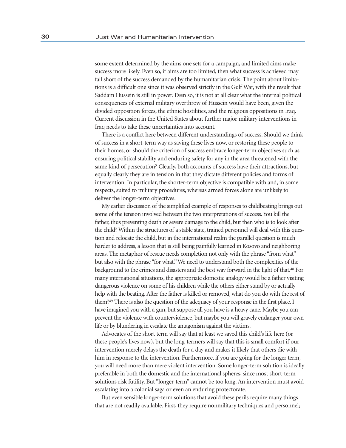some extent determined by the aims one sets for a campaign, and limited aims make success more likely. Even so, if aims are too limited, then what success is achieved may fall short of the success demanded by the humanitarian crisis. The point about limitations is a difficult one since it was observed strictly in the Gulf War, with the result that Saddam Hussein is still in power. Even so, it is not at all clear what the internal political consequences of external military overthrow of Hussein would have been, given the divided opposition forces, the ethnic hostilities, and the religious oppositions in Iraq. Current discussion in the United States about further major military interventions in Iraq needs to take these uncertainties into account.

There is a conflict here between different understandings of success. Should we think of success in a short-term way as saving these lives now, or restoring these people to their homes, or should the criterion of success embrace longer-term objectives such as ensuring political stability and enduring safety for any in the area threatened with the same kind of persecution? Clearly, both accounts of success have their attractions, but equally clearly they are in tension in that they dictate different policies and forms of intervention. In particular, the shorter-term objective is compatible with and, in some respects, suited to military procedures, whereas armed forces alone are unlikely to deliver the longer-term objectives.

My earlier discussion of the simplified example of responses to childbeating brings out some of the tension involved between the two interpretations of success. You kill the father, thus preventing death or severe damage to the child, but then who is to look after the child? Within the structures of a stable state, trained personnel will deal with this question and relocate the child, but in the international realm the parallel question is much harder to address, a lesson that is still being painfully learned in Kosovo and neighboring areas. The metaphor of rescue needs completion not only with the phrase "from what" but also with the phrase "for what." We need to understand both the complexities of the background to the crimes and disasters and the best way forward in the light of that.48 For many international situations, the appropriate domestic analogy would be a father visiting dangerous violence on some of his children while the others either stand by or actually help with the beating. After the father is killed or removed, what do you do with the rest of them?49 There is also the question of the adequacy of your response in the first place. I have imagined you with a gun, but suppose all you have is a heavy cane. Maybe you can prevent the violence with counterviolence, but maybe you will gravely endanger your own life or by blundering in escalate the antagonism against the victims.

Advocates of the short term will say that at least we saved this child's life here (or these people's lives now), but the long-termers will say that this is small comfort if our intervention merely delays the death for a day and makes it likely that others die with him in response to the intervention. Furthermore, if you are going for the longer term, you will need more than mere violent intervention. Some longer-term solution is ideally preferable in both the domestic and the international spheres, since most short-term solutions risk futility. But "longer-term" cannot be too long. An intervention must avoid escalating into a colonial saga or even an enduring protectorate.

But even sensible longer-term solutions that avoid these perils require many things that are not readily available. First, they require nonmilitary techniques and personnel;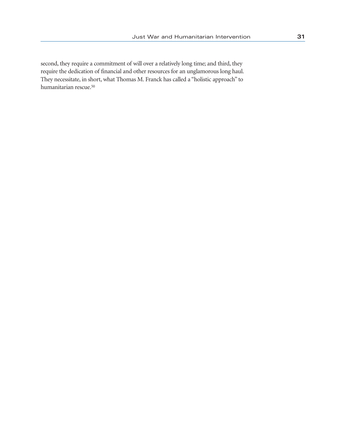second, they require a commitment of will over a relatively long time; and third, they require the dedication of financial and other resources for an unglamorous long haul. They necessitate, in short, what Thomas M. Franck has called a "holistic approach" to humanitarian rescue.50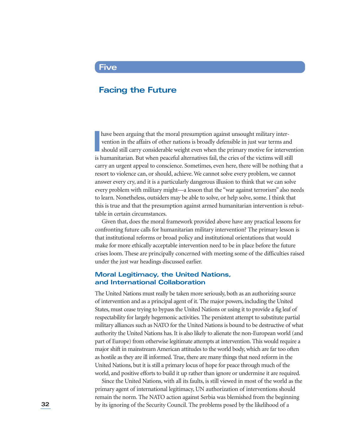**Facing the Future**

**Five**

have been arguing that the moral presumption against unsought military intervention in the affairs of other nations is broadly defensible in just war terms and should still carry considerable weight even when the primary motive for intervention is humanitarian. But when peaceful alternatives fail, the cries of the victims will still carry an urgent appeal to conscience. Sometimes, even here, there will be nothing that a resort to violence can, or should, achieve. We cannot solve every problem, we cannot answer every cry, and it is a particularly dangerous illusion to think that we can solve every problem with military might—a lesson that the "war against terrorism" also needs to learn. Nonetheless, outsiders may be able to solve, or help solve, some. I think that this is true and that the presumption against armed humanitarian intervention is rebuttable in certain circumstances. **I**<br> **I**<br> **I**<br> **I**<br> **I**<br> **I**<br> **I** 

Given that, does the moral framework provided above have any practical lessons for confronting future calls for humanitarian military intervention? The primary lesson is that institutional reforms or broad policy and institutional orientations that would make for more ethically acceptable intervention need to be in place before the future crises loom. These are principally concerned with meeting some of the difficulties raised under the just war headings discussed earlier.

#### **Moral Legitimacy, the United Nations, and International Collaboration**

The United Nations must really be taken more seriously, both as an authorizing source of intervention and as a principal agent of it. The major powers, including the United States, must cease trying to bypass the United Nations or using it to provide a fig leaf of respectability for largely hegemonic activities. The persistent attempt to substitute partial military alliances such as NATO for the United Nations is bound to be destructive of what authority the United Nations has. It is also likely to alienate the non-European world (and part of Europe) from otherwise legitimate attempts at intervention. This would require a major shift in mainstream American attitudes to the world body, which are far too often as hostile as they are ill informed. True, there are many things that need reform in the United Nations, but it is still a primary locus of hope for peace through much of the world, and positive efforts to build it up rather than ignore or undermine it are required.

Since the United Nations, with all its faults, is still viewed in most of the world as the primary agent of international legitimacy, UN authorization of interventions should remain the norm. The NATO action against Serbia was blemished from the beginning by its ignoring of the Security Council. The problems posed by the likelihood of a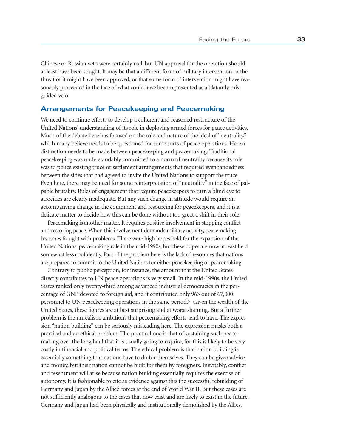Chinese or Russian veto were certainly real, but UN approval for the operation should at least have been sought. It may be that a different form of military intervention or the threat of it might have been approved, or that some form of intervention might have reasonably proceeded in the face of what could have been represented as a blatantly misguided veto.

#### **Arrangements for Peacekeeping and Peacemaking**

We need to continue efforts to develop a coherent and reasoned restructure of the United Nations' understanding of its role in deploying armed forces for peace activities. Much of the debate here has focused on the role and nature of the ideal of "neutrality," which many believe needs to be questioned for some sorts of peace operations. Here a distinction needs to be made between peacekeeping and peacemaking. Traditional peacekeeping was understandably committed to a norm of neutrality because its role was to police existing truce or settlement arrangements that required evenhandedness between the sides that had agreed to invite the United Nations to support the truce. Even here, there may be need for some reinterpretation of "neutrality" in the face of palpable brutality. Rules of engagement that require peacekeepers to turn a blind eye to atrocities are clearly inadequate. But any such change in attitude would require an accompanying change in the equipment and resourcing for peacekeepers, and it is a delicate matter to decide how this can be done without too great a shift in their role.

Peacemaking is another matter. It requires positive involvement in stopping conflict and restoring peace. When this involvement demands military activity, peacemaking becomes fraught with problems. There were high hopes held for the expansion of the United Nations' peacemaking role in the mid-1990s, but these hopes are now at least held somewhat less confidently. Part of the problem here is the lack of resources that nations are prepared to commit to the United Nations for either peacekeeping or peacemaking.

Contrary to public perception, for instance, the amount that the United States directly contributes to UN peace operations is very small. In the mid-1990s, the United States ranked only twenty-third among advanced industrial democracies in the percentage of GNP devoted to foreign aid, and it contributed only 963 out of 67,000 personnel to UN peacekeeping operations in the same period.51 Given the wealth of the United States, these figures are at best surprising and at worst shaming. But a further problem is the unrealistic ambitions that peacemaking efforts tend to have. The expression "nation building" can be seriously misleading here. The expression masks both a practical and an ethical problem. The practical one is that of sustaining such peacemaking over the long haul that it is usually going to require, for this is likely to be very costly in financial and political terms. The ethical problem is that nation building is essentially something that nations have to do for themselves. They can be given advice and money, but their nation cannot be built for them by foreigners. Inevitably, conflict and resentment will arise because nation building essentially requires the exercise of autonomy. It is fashionable to cite as evidence against this the successful rebuilding of Germany and Japan by the Allied forces at the end of World War II. But these cases are not sufficiently analogous to the cases that now exist and are likely to exist in the future. Germany and Japan had been physically and institutionally demolished by the Allies,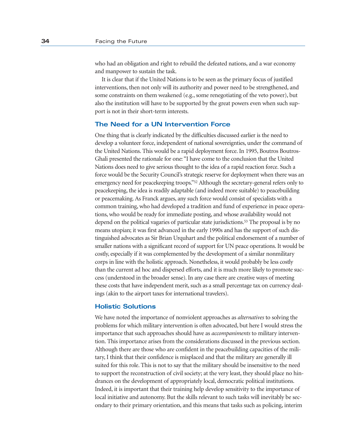who had an obligation and right to rebuild the defeated nations, and a war economy and manpower to sustain the task.

It is clear that if the United Nations is to be seen as the primary focus of justified interventions, then not only will its authority and power need to be strengthened, and some constraints on them weakened (e.g., some renegotiating of the veto power), but also the institution will have to be supported by the great powers even when such support is not in their short-term interests.

#### **The Need for a UN Intervention Force**

One thing that is clearly indicated by the difficulties discussed earlier is the need to develop a volunteer force, independent of national sovereignties, under the command of the United Nations. This would be a rapid deployment force. In 1995, Boutros Boutros-Ghali presented the rationale for one: "I have come to the conclusion that the United Nations does need to give serious thought to the idea of a rapid reaction force. Such a force would be the Security Council's strategic reserve for deployment when there was an emergency need for peacekeeping troops."52 Although the secretary-general refers only to peacekeeping, the idea is readily adaptable (and indeed more suitable) to peacebuilding or peacemaking. As Franck argues, any such force would consist of specialists with a common training, who had developed a tradition and fund of experience in peace operations, who would be ready for immediate posting, and whose availability would not depend on the political vagaries of particular state jurisdictions.53 The proposal is by no means utopian; it was first advanced in the early 1990s and has the support of such distinguished advocates as Sir Brian Urquhart and the political endorsement of a number of smaller nations with a significant record of support for UN peace operations. It would be costly, especially if it was complemented by the development of a similar nonmilitary corps in line with the holistic approach. Nonetheless, it would probably be less costly than the current ad hoc and dispersed efforts, and it is much more likely to promote success (understood in the broader sense). In any case there are creative ways of meeting these costs that have independent merit, such as a small percentage tax on currency dealings (akin to the airport taxes for international travelers).

#### **Holistic Solutions**

We have noted the importance of nonviolent approaches as *alternatives* to solving the problems for which military intervention is often advocated, but here I would stress the importance that such approaches should have as *accompaniments* to military intervention. This importance arises from the considerations discussed in the previous section. Although there are those who are confident in the peacebuilding capacities of the military, I think that their confidence is misplaced and that the military are generally ill suited for this role. This is not to say that the military should be insensitive to the need to support the reconstruction of civil society; at the very least, they should place no hindrances on the development of appropriately local, democratic political institutions. Indeed, it is important that their training help develop sensitivity to the importance of local initiative and autonomy. But the skills relevant to such tasks will inevitably be secondary to their primary orientation, and this means that tasks such as policing, interim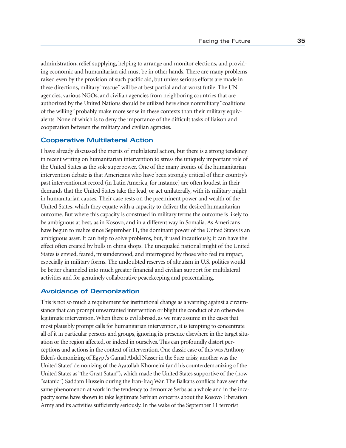administration, relief supplying, helping to arrange and monitor elections, and providing economic and humanitarian aid must be in other hands. There are many problems raised even by the provision of such pacific aid, but unless serious efforts are made in these directions, military "rescue" will be at best partial and at worst futile. The UN agencies, various NGOs, and civilian agencies from neighboring countries that are authorized by the United Nations should be utilized here since nonmilitary "coalitions of the willing" probably make more sense in these contexts than their military equivalents. None of which is to deny the importance of the difficult tasks of liaison and cooperation between the military and civilian agencies.

#### **Cooperative Multilateral Action**

I have already discussed the merits of multilateral action, but there is a strong tendency in recent writing on humanitarian intervention to stress the uniquely important role of the United States as the sole superpower. One of the many ironies of the humanitarian intervention debate is that Americans who have been strongly critical of their country's past interventionist record (in Latin America, for instance) are often loudest in their demands that the United States take the lead, or act unilaterally, with its military might in humanitarian causes. Their case rests on the preeminent power and wealth of the United States, which they equate with a capacity to deliver the desired humanitarian outcome. But where this capacity is construed in military terms the outcome is likely to be ambiguous at best, as in Kosovo, and in a different way in Somalia. As Americans have begun to realize since September 11, the dominant power of the United States is an ambiguous asset. It can help to solve problems, but, if used incautiously, it can have the effect often created by bulls in china shops. The unequaled national might of the United States is envied, feared, misunderstood, and interrogated by those who feel its impact, especially in military forms. The undoubted reserves of altruism in U.S. politics would be better channeled into much greater financial and civilian support for multilateral activities and for genuinely collaborative peacekeeping and peacemaking.

#### **Avoidance of Demonization**

This is not so much a requirement for institutional change as a warning against a circumstance that can prompt unwarranted intervention or blight the conduct of an otherwise legitimate intervention. When there is evil abroad, as we may assume in the cases that most plausibly prompt calls for humanitarian intervention, it is tempting to concentrate all of it in particular persons and groups, ignoring its presence elsewhere in the target situation or the region affected, or indeed in ourselves. This can profoundly distort perceptions and actions in the context of intervention. One classic case of this was Anthony Eden's demonizing of Egypt's Gamal Abdel Nasser in the Suez crisis; another was the United States' demonizing of the Ayatollah Khomeini (and his counterdemonizing of the United States as "the Great Satan"), which made the United States supportive of the (now "satanic") Saddam Hussein during the Iran-Iraq War. The Balkans conflicts have seen the same phenomenon at work in the tendency to demonize Serbs as a whole and in the incapacity some have shown to take legitimate Serbian concerns about the Kosovo Liberation Army and its activities sufficiently seriously. In the wake of the September 11 terrorist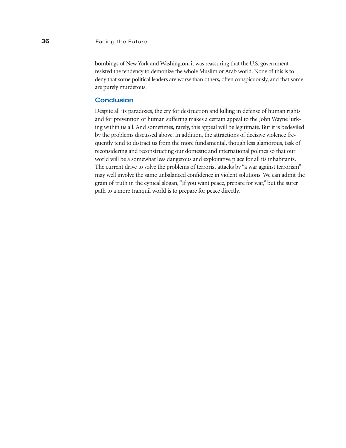bombings of New York and Washington, it was reassuring that the U.S. government resisted the tendency to demonize the whole Muslim or Arab world. None of this is to deny that some political leaders are worse than others, often conspicuously, and that some are purely murderous.

#### **Conclusion**

Despite all its paradoxes, the cry for destruction and killing in defense of human rights and for prevention of human suffering makes a certain appeal to the John Wayne lurking within us all. And sometimes, rarely, this appeal will be legitimate. But it is bedeviled by the problems discussed above. In addition, the attractions of decisive violence frequently tend to distract us from the more fundamental, though less glamorous, task of reconsidering and reconstructing our domestic and international politics so that our world will be a somewhat less dangerous and exploitative place for all its inhabitants. The current drive to solve the problems of terrorist attacks by "a war against terrorism" may well involve the same unbalanced confidence in violent solutions. We can admit the grain of truth in the cynical slogan, "If you want peace, prepare for war," but the surer path to a more tranquil world is to prepare for peace directly.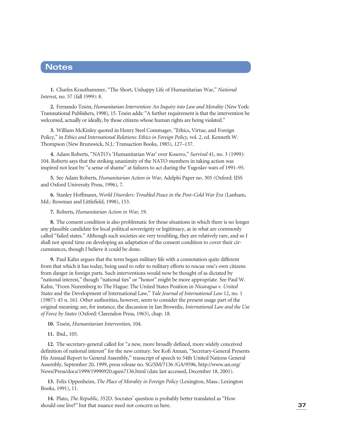### **Notes**

**1.** Charles Krauthammer, "The Short, Unhappy Life of Humanitarian War," *National Interest,* no. 57 (fall 1999): 8.

**2.** Fernando Tesón, *Humanitarian Intervention: An Inquiry into Law and Morality* (New York: Transnational Publishers, 1998), 15. Tesón adds: "A further requirement is that the intervention be welcomed, actually or ideally, by those citizens whose human rights are being violated."

**3.** William McKinley quoted in Henry Steel Commager, "Ethics, Virtue, and Foreign Policy," in *Ethics and International Relations: Ethics in Foreign Policy,* vol. 2, ed. Kenneth W. Thompson (New Brunswick, N.J.: Transaction Books, 1985), 127–137.

**4.** Adam Roberts, "NATO's 'Humanitarian War' over Kosovo," *Survival* 41, no. 3 (1999): 104. Roberts says that the striking unanimity of the NATO members in taking action was inspired not least by "a sense of shame" at failures to act during the Yugoslav wars of 1991–95.

**5.** See Adam Roberts, *Humanitarian Action in War,* Adelphi Paper no. 305 (Oxford: IISS and Oxford University Press, 1996), 7.

**6.** Stanley Hoffmann, *World Disorders: Troubled Peace in the Post–Cold War Era* (Lanham, Md.: Rowman and Littlefield, 1998), 153.

**7.** Roberts, *Humanitarian Action in War,* 19.

**8.** The consent condition is also problematic for those situations in which there is no longer any plausible candidate for local political sovereignty or legitimacy, as in what are commonly called "failed states." Although such societies are very troubling, they are relatively rare, and so I shall not spend time on developing an adaptation of the consent condition to cover their circumstances, though I believe it could be done.

**9.** Paul Kahn argues that the term began military life with a connotation quite different from that which it has today, being used to refer to military efforts to rescue one's own citizens from danger in foreign parts. Such interventions would now be thought of as dictated by "national interest," though "national ties" or "honor" might be more appropriate. See Paul W. Kahn, "From Nuremberg to The Hague: The United States Position in *Nicaragua v. United States* and the Development of International Law," *Yale Journal of International Law* 12, no. 1 (1987): 45 n. 161. Other authorities, however, seem to consider the present usage part of the original meaning; see, for instance, the discussion in Ian Brownlie, *International Law and the Use of Force by States* (Oxford: Clarendon Press, 1963), chap. 18.

**10.** Tesón, *Humanitarian Intervention,* 104.

**11.** Ibid., 105.

**12.** The secretary-general called for "a new, more broadly defined, more widely conceived definition of national interest" for the new century. See Kofi Annan, "Secretary-General Presents His Annual Report to General Assembly," transcript of speech to 54th United Nations General Assembly, September 20, 1999, press release no. SG/SM/7136 /GA/9596, http://www.un.org/ News/Press/docs/1999/19990920.sgsm7136.html (date last accessed, December 18, 2001).

**13.** Felix Oppenheim, *The Place of Morality in Foreign Policy* (Lexington, Mass.: Lexington Books, 1991), 11.

**14.** Plato, *The Republic,* 352D. Socrates' question is probably better translated as "How should one live?" but that nuance need not concern us here.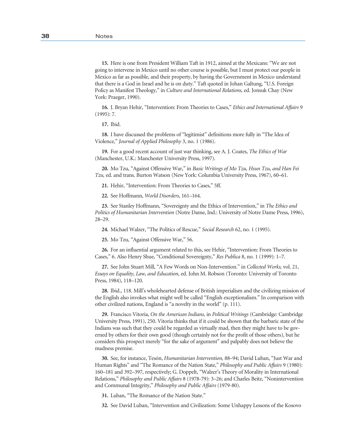**15.** Here is one from President William Taft in 1912, aimed at the Mexicans: "We are not going to intervene in Mexico until no other course is possible, but I must protect our people in Mexico as far as possible, and their property, by having the Government in Mexico understand that there is a God in Israel and he is on duty." Taft quoted in Johan Galtung, "U.S. Foreign Policy as Manifest Theology," in *Culture and International Relations,* ed. Jonsuk Chay (New York: Praeger, 1990).

**16.** J. Bryan Hehir, "Intervention: From Theories to Cases," *Ethics and International Affairs* 9 (1995): 7.

**17.** Ibid.

**18.** I have discussed the problems of "legitimist" definitions more fully in "The Idea of Violence," *Journal of Applied Philosophy* 3, no. 1 (1986).

**19.** For a good recent account of just war thinking, see A. J. Coates, *The Ethics of War* (Manchester, U.K.: Manchester University Press, 1997).

**20.** Mo Tzu, "Against Offensive War," in *Basic Writings of Mo Tzu, Hsun Tzu, and Han Fei Tzu,* ed. and trans. Burton Watson (New York: Columbia University Press, 1967), 60–61.

**21.** Hehir, "Intervention: From Theories to Cases," 5ff.

**22.** See Hoffmann, *World Disorders,* 161–164.

**23.** See Stanley Hoffmann, "Sovereignty and the Ethics of Intervention," in *The Ethics and Politics of Humanitarian Intervention* (Notre Dame, Ind.: University of Notre Dame Press, 1996), 28–29.

**24.** Michael Walzer, "The Politics of Rescue," *Social Research* 62, no. 1 (1995).

**25.** Mo Tzu, "Against Offensive War," 56.

**26.** For an influential argument related to this, see Hehir, "Intervention: From Theories to Cases," 6. Also Henry Shue, "Conditional Sovereignty," *Res Publica* 8, no. 1 (1999): 1–7.

**27.** See John Stuart Mill, "A Few Words on Non-Intervention." in *Collected Works,* vol. 21, *Essays on Equality, Law, and Education,* ed. John M. Robson (Toronto: University of Toronto Press, 1984), 118–120.

**28.** Ibid., 118. Mill's wholehearted defense of British imperialism and the civilizing mission of the English also invokes what might well be called "English exceptionalism." In comparison with other civilized nations, England is "a novelty in the world" (p. 111).

**29.** Francisco Vitoria, *On the American Indians,* in *Political Writings* (Cambridge: Cambridge University Press, 1991), 250. Vitoria thinks that if it could be shown that the barbaric state of the Indians was such that they could be regarded as virtually mad, then they might have to be governed by others for their own good (though certainly not for the profit of those others), but he considers this prospect merely "for the sake of argument" and palpably does not believe the madness premise.

**30.** See, for instance, Tesón, *Humanitarian Intervention,* 88–94; David Luban, "Just War and Human Rights" and "The Romance of the Nation State," *Philosophy and Public Affairs* 9 (1980): 160–181 and 392–397, respectively; G. Doppelt, "Walzer's Theory of Morality in International Relations," *Philosophy and Public Affairs* 8 (1978-79): 3–26; and Charles Beitz, "Nonintervention and Communal Integrity," *Philosophy and Public Affairs* (1979-80).

**31.** Luban, "The Romance of the Nation State."

**32.** See David Luban, "Intervention and Civilization: Some Unhappy Lessons of the Kosovo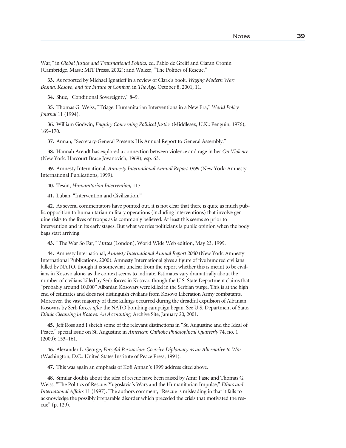War," in *Global Justice and Transnational Politics,* ed. Pablo de Greiff and Ciaran Cronin (Cambridge, Mass.: MIT Presss, 2002); and Walzer, "The Politics of Rescue."

**33.** As reported by Michael Ignatieff in a review of Clark's book, *Waging Modern War: Bosnia, Kosovo, and the Future of Combat,* in *The Age,* October 8, 2001, 11.

**34.** Shue, "Conditional Sovereignty," 8–9.

**35.** Thomas G. Weiss, "Triage: Humanitarian Interventions in a New Era," *World Policy Journal* 11 (1994).

**36.** William Godwin, *Enquiry Concerning Political Justice* (Middlesex, U.K.: Penguin, 1976), 169–170.

**37.** Annan, "Secretary-General Presents His Annual Report to General Assembly."

**38.** Hannah Arendt has explored a connection between violence and rage in her *On Violence* (New York: Harcourt Brace Jovanovich, 1969), esp. 63.

**39.** Amnesty International, *Amnesty International Annual Report 1999* (New York: Amnesty International Publications, 1999).

**40.** Tesón, *Humanitarian Intervention,* 117.

**41.** Luban, "Intervention and Civilization."

**42.** As several commentators have pointed out, it is not clear that there is quite as much public opposition to humanitarian military operations (including interventions) that involve genuine risks to the lives of troops as is commonly believed. At least this seems so prior to intervention and in its early stages. But what worries politicians is public opinion when the body bags start arriving.

**43.** "The War So Far," *Times* (London), World Wide Web edition, May 23, 1999.

**44.** Amnesty International, *Amnesty International Annual Report 2000* (New York: Amnesty International Publications, 2000). Amnesty International gives a figure of five hundred civilians killed by NATO, though it is somewhat unclear from the report whether this is meant to be civilians in Kosovo alone, as the context seems to indicate. Estimates vary dramatically about the number of civilians killed by Serb forces in Kosovo, though the U.S. State Department claims that "probably around 10,000" Albanian Kosovars were killed in the Serbian purge. This is at the high end of estimates and does not distinguish civilians from Kosovo Liberation Army combatants. Moreover, the vast majority of these killings occurred during the dreadful expulsion of Albanian Kosovars by Serb forces *after* the NATO bombing campaign began. See U.S. Department of State, *Ethnic Cleansing in Kosovo: An Accounting,* Archive Site, January 20, 2001.

**45.** Jeff Ross and I sketch some of the relevant distinctions in "St. Augustine and the Ideal of Peace," special issue on St. Augustine in *American Catholic Philosophical Quarterly* 74, no. 1 (2000): 153–161.

**46.** Alexander L. George, *Forceful Persuasion: Coercive Diplomacy as an Alternative to War* (Washington, D.C.: United States Institute of Peace Press, 1991).

**47.** This was again an emphasis of Kofi Annan's 1999 address cited above.

**48.** Similar doubts about the idea of rescue have been raised by Amir Pasic and Thomas G. Weiss, "The Politics of Rescue: Yugoslavia's Wars and the Humanitarian Impulse," *Ethics and International Affairs* 11 (1997). The authors comment, "Rescue is misleading in that it fails to acknowledge the possibly irreparable disorder which preceded the crisis that motivated the rescue" (p. 129).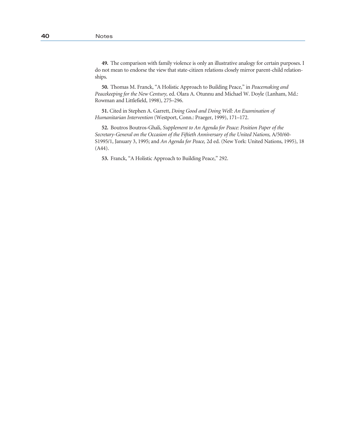**49.** The comparison with family violence is only an illustrative analogy for certain purposes. I do not mean to endorse the view that state-citizen relations closely mirror parent-child relationships.

**50.** Thomas M. Franck, "A Holistic Approach to Building Peace," in *Peacemaking and Peacekeeping for the New Century,* ed. Olara A. Otunnu and Michael W. Doyle (Lanham, Md.: Rowman and Littlefield, 1998), 275–296.

**51.** Cited in Stephen A. Garrett, *Doing Good and Doing Well: An Examination of Humanitarian Intervention* (Westport, Conn.: Praeger, 1999), 171–172.

**52.** Boutros Boutros-Ghali, *Supplement to An Agenda for Peace: Position Paper of the Secretary-General on the Occasion of the Fiftieth Anniversary of the United Nations,* A/50/60- S1995/1, January 3, 1995; and *An Agenda for Peace,* 2d ed. (New York: United Nations, 1995), 18 (A44).

**53.** Franck, "A Holistic Approach to Building Peace," 292.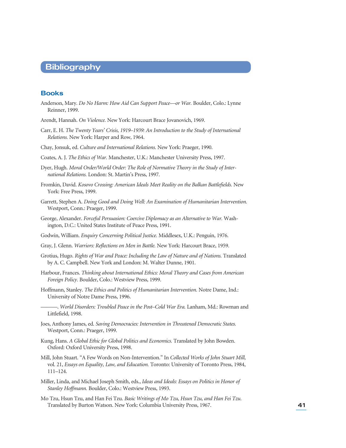# **Bibliography**

#### **Books**

- Anderson, Mary. *Do No Harm: How Aid Can Support Peace—or War.* Boulder, Colo.: Lynne Reinner, 1999.
- Arendt, Hannah. *On Violence.* New York: Harcourt Brace Jovanovich, 1969.
- Carr, E. H. *The Twenty Years' Crisis, 1919–1939: An Introduction to the Study of International Relations.* New York: Harper and Row, 1964.
- Chay, Jonsuk, ed. *Culture and International Relations.* New York: Praeger, 1990.
- Coates, A. J. *The Ethics of War.* Manchester, U.K.: Manchester University Press, 1997.
- Dyer, Hugh. *Moral Order/World Order: The Role of Normative Theory in the Study of International Relations.* London: St. Martin's Press, 1997.
- Fromkin, David. *Kosovo Crossing: American Ideals Meet Reality on the Balkan Battlefields.* New York: Free Press, 1999.
- Garrett, Stephen A. *Doing Good and Doing Well: An Examination of Humanitarian Intervention.* Westport, Conn.: Praeger, 1999.
- George, Alexander. *Forceful Persuasion: Coercive Diplomacy as an Alternative to War.* Washington, D.C.: United States Institute of Peace Press, 1991.
- Godwin, William. *Enquiry Concerning Political Justice.* Middlesex, U.K.: Penguin, 1976.
- Gray, J. Glenn. *Warriors: Reflections on Men in Battle.* New York: Harcourt Brace, 1959.
- Grotius, Hugo. *Rights of War and Peace: Including the Law of Nature and of Nations.* Translated by A. C. Campbell. New York and London: M. Walter Dunne, 1901.
- Harbour, Frances. *Thinking about International Ethics: Moral Theory and Cases from American Foreign Policy.* Boulder, Colo.: Westview Press, 1999.
- Hoffmann, Stanley. *The Ethics and Politics of Humanitarian Intervention.* Notre Dame, Ind.: University of Notre Dame Press, 1996.
	- ———. *World Disorders: Troubled Peace in the Post–Cold War Era.* Lanham, Md.: Rowman and Littlefield, 1998.
- Joes, Anthony James, ed. *Saving Democracies: Intervention in Threatened Democratic States.* Westport, Conn.: Praeger, 1999.
- Kung, Hans. *A Global Ethic for Global Politics and Economics.* Translated by John Bowden. Oxford: Oxford University Press, 1998.
- Mill, John Stuart. "A Few Words on Non-Intervention." In *Collected Works of John Stuart Mill,* vol. 21, *Essays on Equality, Law, and Education.* Toronto: University of Toronto Press, 1984, 111–124.
- Miller, Linda, and Michael Joseph Smith, eds., *Ideas and Ideals: Essays on Politics in Honor of Stanley Hoffmann.* Boulder, Colo.: Westview Press, 1993.
- Mo Tzu, Hsun Tzu, and Han Fei Tzu. *Basic Writings of Mo Tzu, Hsun Tzu, and Han Fei Tzu.* Translated by Burton Watson. New York: Columbia University Press, 1967.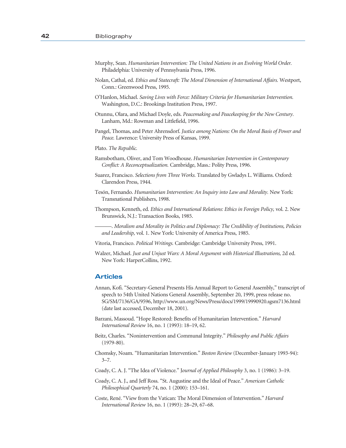- Murphy, Sean. *Humanitarian Intervention: The United Nations in an Evolving World Order.* Philadelphia: University of Pennsylvania Press, 1996.
- Nolan, Cathal, ed. *Ethics and Statecraft: The Moral Dimension of International Affairs.* Westport, Conn.: Greenwood Press, 1995.
- O'Hanlon, Michael. *Saving Lives with Force: Military Criteria for Humanitarian Intervention.* Washington, D.C.: Brookings Institution Press, 1997.
- Otunnu, Olara, and Michael Doyle, eds. *Peacemaking and Peacekeeping for the New Century.* Lanham, Md.: Rowman and Littlefield, 1996.
- Pangel, Thomas, and Peter Ahrensdorf. *Justice among Nations: On the Moral Basis of Power and Peace.* Lawrence: University Press of Kansas, 1999.
- Plato. *The Republic.*
- Ramsbotham, Oliver, and Tom Woodhouse. *Humanitarian Intervention in Contemporary Conflict: A Reconceptualization.* Cambridge, Mass.: Polity Press, 1996.
- Suarez, Francisco. *Selections from Three Works.* Translated by Gwladys L. Williams. Oxford: Clarendon Press, 1944.
- Tesón, Fernando. *Humanitarian Intervention: An Inquiry into Law and Morality.* New York: Transnational Publishers, 1998.
- Thompson, Kenneth, ed. *Ethics and International Relations: Ethics in Foreign Policy,* vol. 2. New Brunswick, N.J.: Transaction Books, 1985.
- ———. *Moralism and Morality in Politics and Diplomacy: The Credibility of Institutions, Policies and Leadership,* vol. 1. New York: University of America Press, 1985.
- Vitoria, Francisco. *Political Writings.* Cambridge: Cambridge University Press, 1991.
- Walzer, Michael. *Just and Unjust Wars: A Moral Argument with Historical Illustrations,* 2d ed. New York: HarperCollins, 1992.

#### **Articles**

- Annan, Kofi. "Secretary-General Presents His Annual Report to General Assembly," transcript of speech to 54th United Nations General Assembly, September 20, 1999, press release no. SG/SM/7136/GA/9596, http://www.un.org/News/Press/docs/1999/19990920.sgsm7136.html (date last accessed, December 18, 2001).
- Barzani, Massoud. "Hope Restored: Benefits of Humanitarian Intervention." *Harvard International Review* 16, no. 1 (1993): 18–19, 62.
- Beitz, Charles. "Nonintervention and Communal Integrity." *Philosophy and Public Affairs* (1979-80).
- Chomsky, Noam. "Humanitarian Intervention." *Boston Review* (December-January 1993-94):  $3 - 7$ .
- Coady, C. A. J. "The Idea of Violence." J*ournal of Applied Philosophy* 3, no. 1 (1986): 3–19.
- Coady, C. A. J., and Jeff Ross. "St. Augustine and the Ideal of Peace." *American Catholic Philosophical Quarterly* 74, no. 1 (2000): 153–161.
- Coste, René. "View from the Vatican: The Moral Dimension of Intervention." *Harvard International Review* 16, no. 1 (1993): 28–29, 67–68.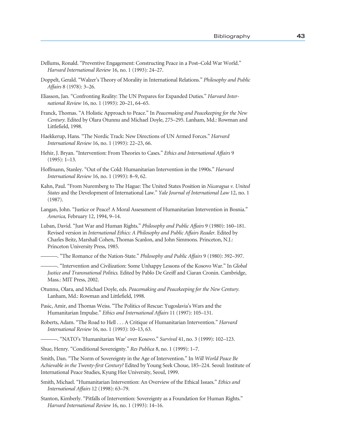- Dellums, Ronald. "Preventive Engagement: Constructing Peace in a Post–Cold War World." *Harvard International Review* 16, no. 1 (1993): 24–27.
- Doppelt, Gerald. "Walzer's Theory of Morality in International Relations." *Philosophy and Public Affairs* 8 (1978): 3–26.
- Eliasson, Jan. "Confronting Reality: The UN Prepares for Expanded Duties." *Harvard International Review* 16, no. 1 (1993): 20–21, 64–65.
- Franck, Thomas. "A Holistic Approach to Peace." In *Peacemaking and Peacekeeping for the New Century.* Edited by Olara Otunnu and Michael Doyle, 275–295. Lanham, Md.: Rowman and Littlefield, 1998.
- Haekkerup, Hans. "The Nordic Track: New Directions of UN Armed Forces." *Harvard International Review* 16, no. 1 (1993): 22–23, 66.
- Hehir, J. Bryan. "Intervention: From Theories to Cases." *Ethics and International Affairs* 9 (1995): 1–13.
- Hoffmann, Stanley. "Out of the Cold: Humanitarian Intervention in the 1990s." *Harvard International Review* 16, no. 1 (1993): 8–9, 62.
- Kahn, Paul. "From Nuremberg to The Hague: The United States Position in *Nicaragua v. United States* and the Development of International Law." *Yale Journal of International Law* 12, no. 1 (1987).
- Langan, John. "Justice or Peace? A Moral Assessment of Humanitarian Intervention in Bosnia." *America,* February 12, 1994, 9–14.
- Luban, David. "Just War and Human Rights." *Philosophy and Public Affairs* 9 (1980): 160–181. Revised version in *International Ethics: A Philosophy and Public Affairs Reader.* Edited by Charles Beitz, Marshall Cohen, Thomas Scanlon, and John Simmons. Princeton, N.J.: Princeton University Press, 1985.

———. "The Romance of the Nation-State." *Philosophy and Public Affairs* 9 (1980): 392–397.

———. "Intervention and Civilization: Some Unhappy Lessons of the Kosovo War." In *Global Justice and Transnational Politics.* Edited by Pablo De Greiff and Ciaran Cronin. Cambridge, Mass.: MIT Press, 2002.

- Otunnu, Olara, and Michael Doyle, eds. *Peacemaking and Peacekeeping for the New Century.* Lanham, Md.: Rowman and Littlefield, 1998.
- Pasic, Amir, and Thomas Weiss. "The Politics of Rescue: Yugoslavia's Wars and the Humanitarian Impulse." *Ethics and International Affairs* 11 (1997): 105–131.
- Roberts, Adam. "The Road to Hell . . . A Critique of Humanitarian Intervention." *Harvard International Review* 16, no. 1 (1993): 10–13, 63.
	- ———. "NATO's 'Humanitarian War' over Kosovo." *Survival* 41, no. 3 (1999): 102–123.
- Shue, Henry. "Conditional Sovereignty." *Res Publica* 8, no. 1 (1999): 1–7.

Smith, Dan. "The Norm of Sovereignty in the Age of Intervention." In *Will World Peace Be Achievable in the Twenty-first Century?* Edited by Young Seek Choue, 185–224. Seoul: Institute of International Peace Studies, Kyung Hee University, Seoul, 1999.

- Smith, Michael. "Humanitarian Intervention: An Overview of the Ethical Issues." *Ethics and International Affairs* 12 (1998): 63–79.
- Stanton, Kimberly. "Pitfalls of Intervention: Sovereignty as a Foundation for Human Rights." *Harvard International Review* 16, no. 1 (1993): 14–16.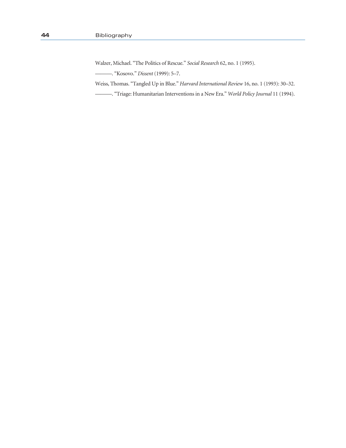Walzer, Michael. "The Politics of Rescue." *Social Research* 62, no. 1 (1995).

———. "Kosovo." *Dissent* (1999): 5–7.

Weiss, Thomas. "Tangled Up in Blue." *Harvard International Review* 16, no. 1 (1993): 30–32.

———. "Triage: Humanitarian Interventions in a New Era." *World Policy Journal* 11 (1994).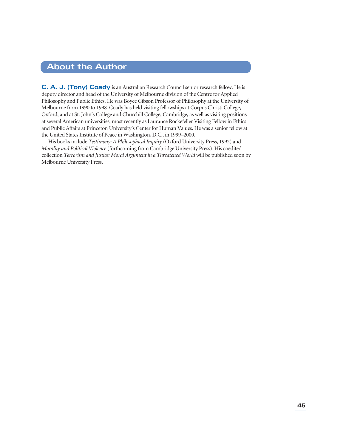# **About the Author**

**C. A. J. (Tony) Coady** is an Australian Research Council senior research fellow. He is deputy director and head of the University of Melbourne division of the Centre for Applied Philosophy and Public Ethics. He was Boyce Gibson Professor of Philosophy at the University of Melbourne from 1990 to 1998. Coady has held visiting fellowships at Corpus Christi College, Oxford, and at St. John's College and Churchill College, Cambridge, as well as visiting positions at several American universities, most recently as Laurance Rockefeller Visiting Fellow in Ethics and Public Affairs at Princeton University's Center for Human Values. He was a senior fellow at the United States Institute of Peace in Washington, D.C., in 1999–2000.

His books include *Testimony: A Philosophical Inquiry* (Oxford University Press, 1992) and *Morality and Political Violence* (forthcoming from Cambridge University Press). His coedited collection *Terrorism and Justice: Moral Argument in a Threatened World* will be published soon by Melbourne University Press.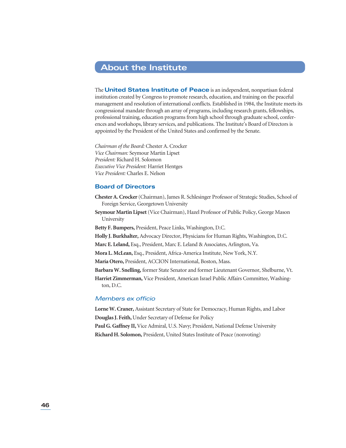# **About the Institute**

The **United States Institute of Peace** is an independent, nonpartisan federal institution created by Congress to promote research, education, and training on the peaceful management and resolution of international conflicts. Established in 1984, the Institute meets its congressional mandate through an array of programs, including research grants, fellowships, professional training, education programs from high school through graduate school, conferences and workshops, library services, and publications. The Institute's Board of Directors is appointed by the President of the United States and confirmed by the Senate.

*Chairman of the Board:* Chester A. Crocker *Vice Chairman:* Seymour Martin Lipset *President:* Richard H. Solomon *Executive Vice President:* Harriet Hentges *Vice President:* Charles E. Nelson

#### **Board of Directors**

- **Chester A. Crocker** (Chairman), James R. Schlesinger Professor of Strategic Studies, School of Foreign Service, Georgetown University
- **Seymour Martin Lipset** (Vice Chairman), Hazel Professor of Public Policy, George Mason **University**
- **Betty F. Bumpers,** President, Peace Links, Washington, D.C.
- **Holly J. Burkhalter,** Advocacy Director, Physicians for Human Rights, Washington, D.C.
- **Marc E. Leland,** Esq., President, Marc E. Leland & Associates, Arlington, Va.
- **Mora L. McLean,** Esq., President, Africa-America Institute, New York, N.Y.
- **María Otero,** President, ACCION International, Boston, Mass.
- **Barbara W. Snelling,** former State Senator and former Lieutenant Governor, Shelburne, Vt.

**Harriet Zimmerman,** Vice President, American Israel Public Affairs Committee, Washington, D.C.

#### Members ex officio

**Lorne W. Craner,** Assistant Secretary of State for Democracy, Human Rights, and Labor **Douglas J. Feith,** Under Secretary of Defense for Policy

**Paul G. Gaffney II,** Vice Admiral, U.S. Navy; President, National Defense University **Richard H. Solomon,** President, United States Institute of Peace (nonvoting)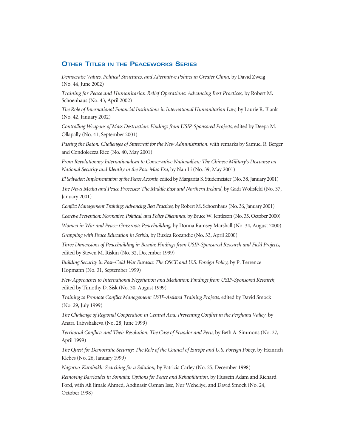#### **OTHER TITLES IN THE PEACEWORKS SERIES**

*Democratic Values, Political Structures, and Alternative Politics in Greater China,* by David Zweig (No. 44, June 2002)

*Training for Peace and Humanitarian Relief Operations: Advancing Best Practices,* by Robert M. Schoenhaus (No. 43, April 2002)

*The Role of International Financial Institutions in International Humanitarian Law,* by Laurie R. Blank (No. 42, January 2002)

*Controlling Weapons of Mass Destruction: Findings from USIP-Sponsored Projects,* edited by Deepa M. Ollapally (No. 41, September 2001)

*Passing the Baton: Challenges of Statecraft for the New Administration,* with remarks by Samuel R. Berger and Condoleezza Rice (No. 40, May 2001)

*From Revolutionary Internationalism to Conservative Nationalism: The Chinese Military's Discourse on National Security and Identity in the Post-Mao Era,* by Nan Li (No. 39, May 2001)

*El Salvador: Implementation of the Peace Accords,* edited by Margarita S. Studemeister (No. 38, January 2001) *The News Media and Peace Processes: The Middle East and Northern Ireland,* by Gadi Wolfsfeld (No. 37, January 2001)

*Conflict Management Training: Advancing Best Practices,* by Robert M. Schoenhaus (No. 36, January 2001)

*Coercive Prevention: Normative, Political, and Policy Dilemmas,* by Bruce W. Jentleson (No. 35, October 2000)

*Women in War and Peace: Grassroots Peacebuilding,* by Donna Ramsey Marshall (No. 34, August 2000)

*Grappling with Peace Education in Serbia,* by Ruzica Rozandic (No. 33, April 2000)

*Three Dimensions of Peacebuilding in Bosnia: Findings from USIP-Sponsored Research and Field Projects,* edited by Steven M. Riskin (No. 32, December 1999)

*Building Security in Post–Cold War Eurasia: The OSCE and U.S. Foreign Policy, by P. Terrence* Hopmann (No. 31, September 1999)

*New Approaches to International Negotiation and Mediation: Findings from USIP-Sponsored Research,* edited by Timothy D. Sisk (No. 30, August 1999)

*Training to Promote Conflict Management: USIP-Assisted Training Projects,* edited by David Smock (No. 29, July 1999)

*The Challenge of Regional Cooperation in Central Asia: Preventing Conflict in the Ferghana Valley,* by Anara Tabyshalieva (No. 28, June 1999)

*Territorial Conflicts and Their Resolution: The Case of Ecuador and Peru,* by Beth A. Simmons (No. 27, April 1999)

*The Quest for Democratic Security: The Role of the Council of Europe and U.S. Foreign Policy,* by Heinrich Klebes (No. 26, January 1999)

*Nagorno-Karabakh: Searching for a Solution,* by Patricia Carley (No. 25, December 1998)

*Removing Barricades in Somalia: Options for Peace and Rehabilitation,* by Hussein Adam and Richard Ford, with Ali Jimale Ahmed, Abdinasir Osman Isse, Nur Weheliye, and David Smock (No. 24, October 1998)